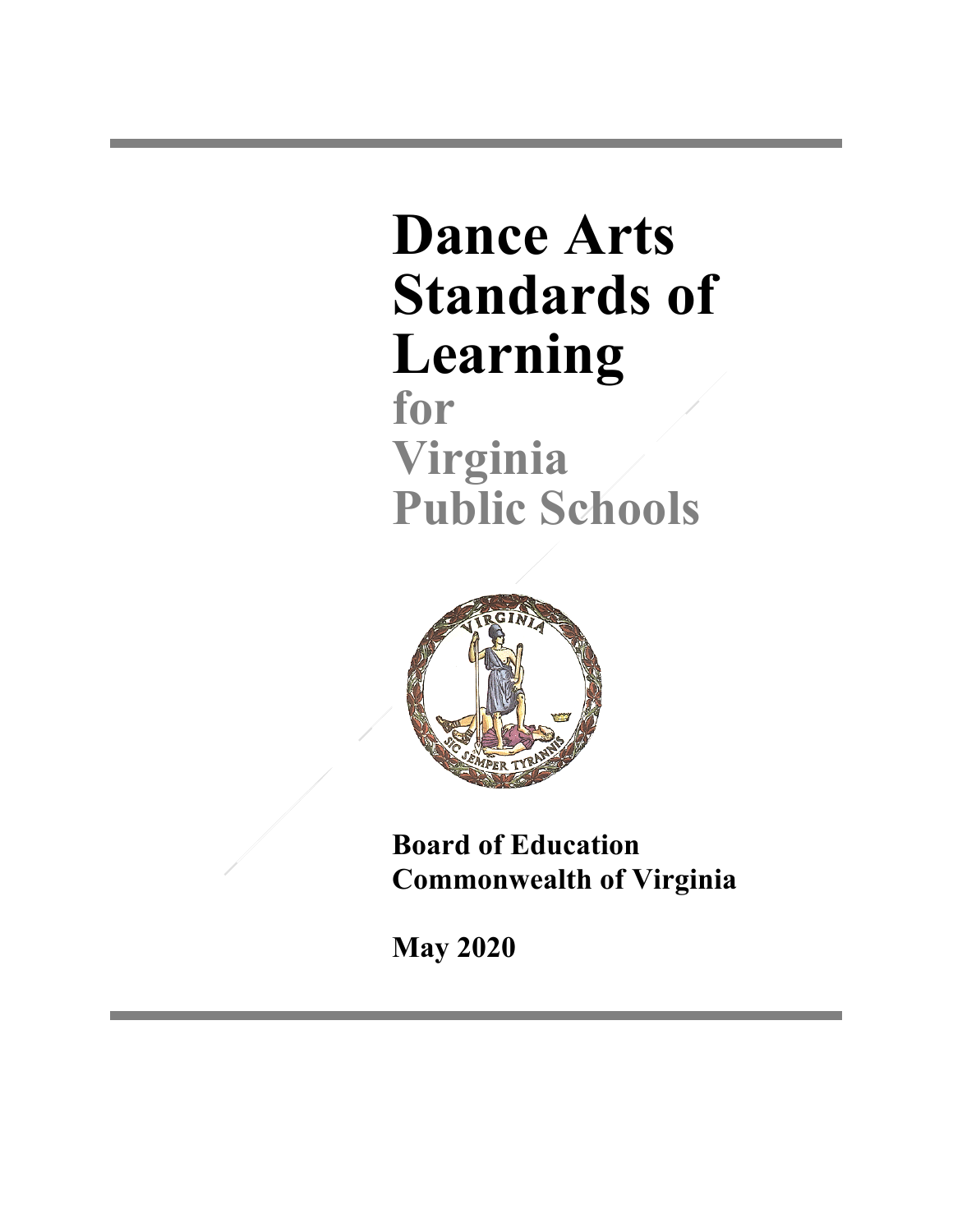# **Dance Arts Standards of Learning**

**for Virginia Public Schools**



**Board of Education Commonwealth of Virginia**

**May 2020**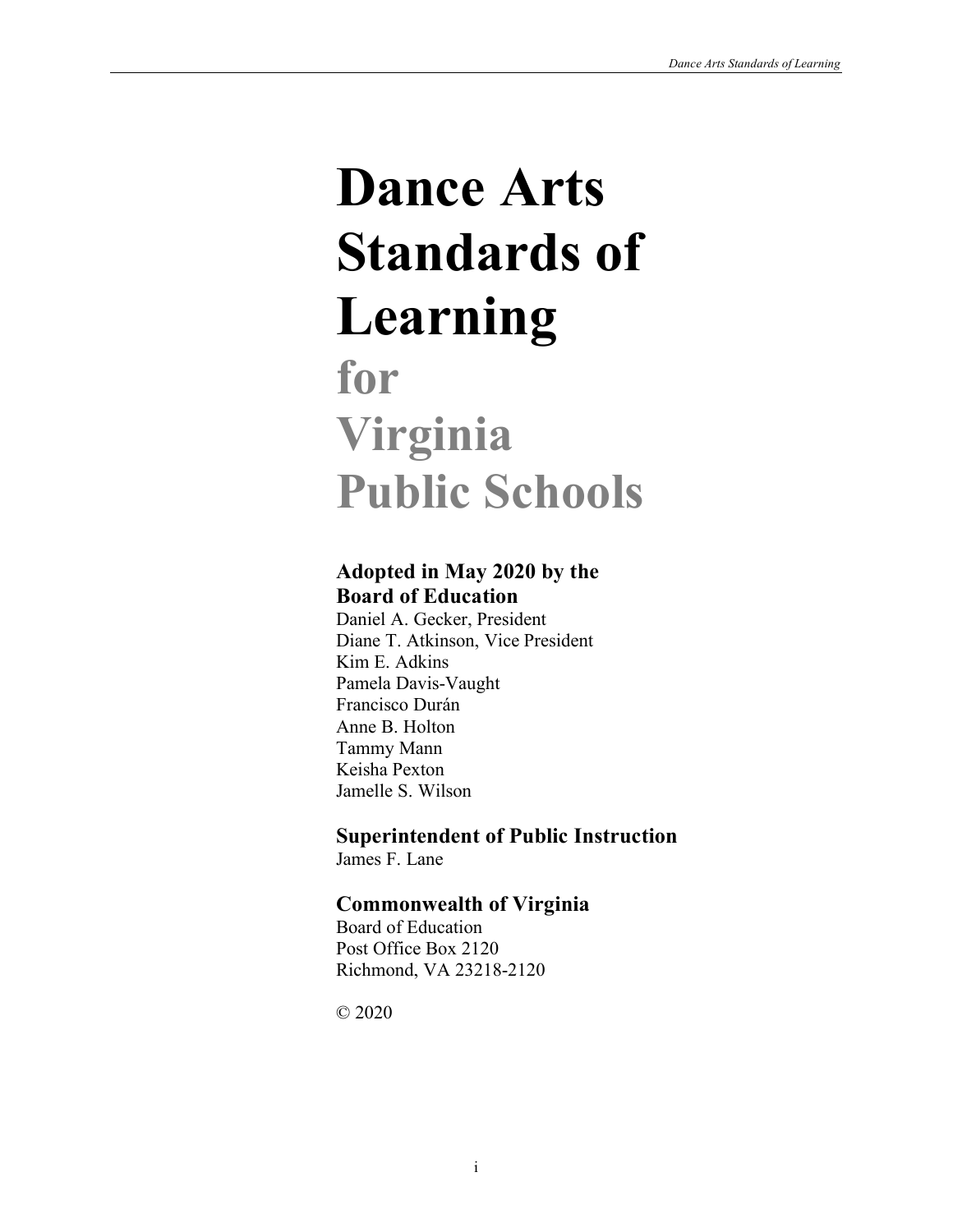# **Dance Arts Standards of Learning**

# **for Virginia Public Schools**

# **Adopted in May 2020 by the Board of Education**

Daniel A. Gecker, President Diane T. Atkinson, Vice President Kim E. Adkins Pamela Davis-Vaught Francisco Durán Anne B. Holton Tammy Mann Keisha Pexton Jamelle S. Wilson

**Superintendent of Public Instruction** James F. Lane

# **Commonwealth of Virginia**

Board of Education Post Office Box 2120 Richmond, VA 23218-2120

© 2020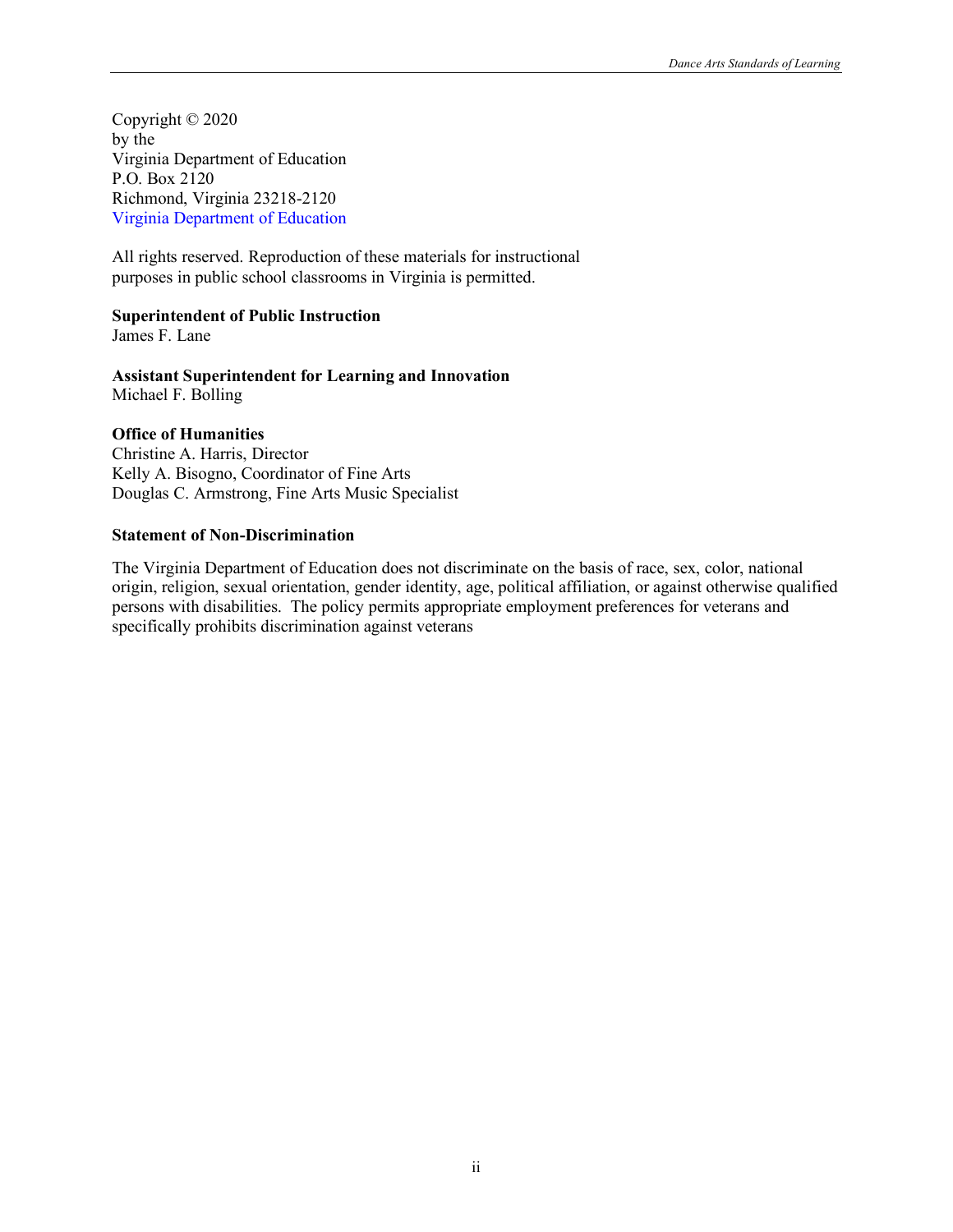Copyright © 2020 by the Virginia Department of Education P.O. Box 2120 Richmond, Virginia 23218-2120 [Virginia Department of Education](http://www.doe.virginia.gov/)

All rights reserved. Reproduction of these materials for instructional purposes in public school classrooms in Virginia is permitted.

#### **Superintendent of Public Instruction**

James F. Lane

**Assistant Superintendent for Learning and Innovation** Michael F. Bolling

#### **Office of Humanities**

Christine A. Harris, Director Kelly A. Bisogno, Coordinator of Fine Arts Douglas C. Armstrong, Fine Arts Music Specialist

#### **Statement of Non-Discrimination**

The Virginia Department of Education does not discriminate on the basis of race, sex, color, national origin, religion, sexual orientation, gender identity, age, political affiliation, or against otherwise qualified persons with disabilities. The policy permits appropriate employment preferences for veterans and specifically prohibits discrimination against veterans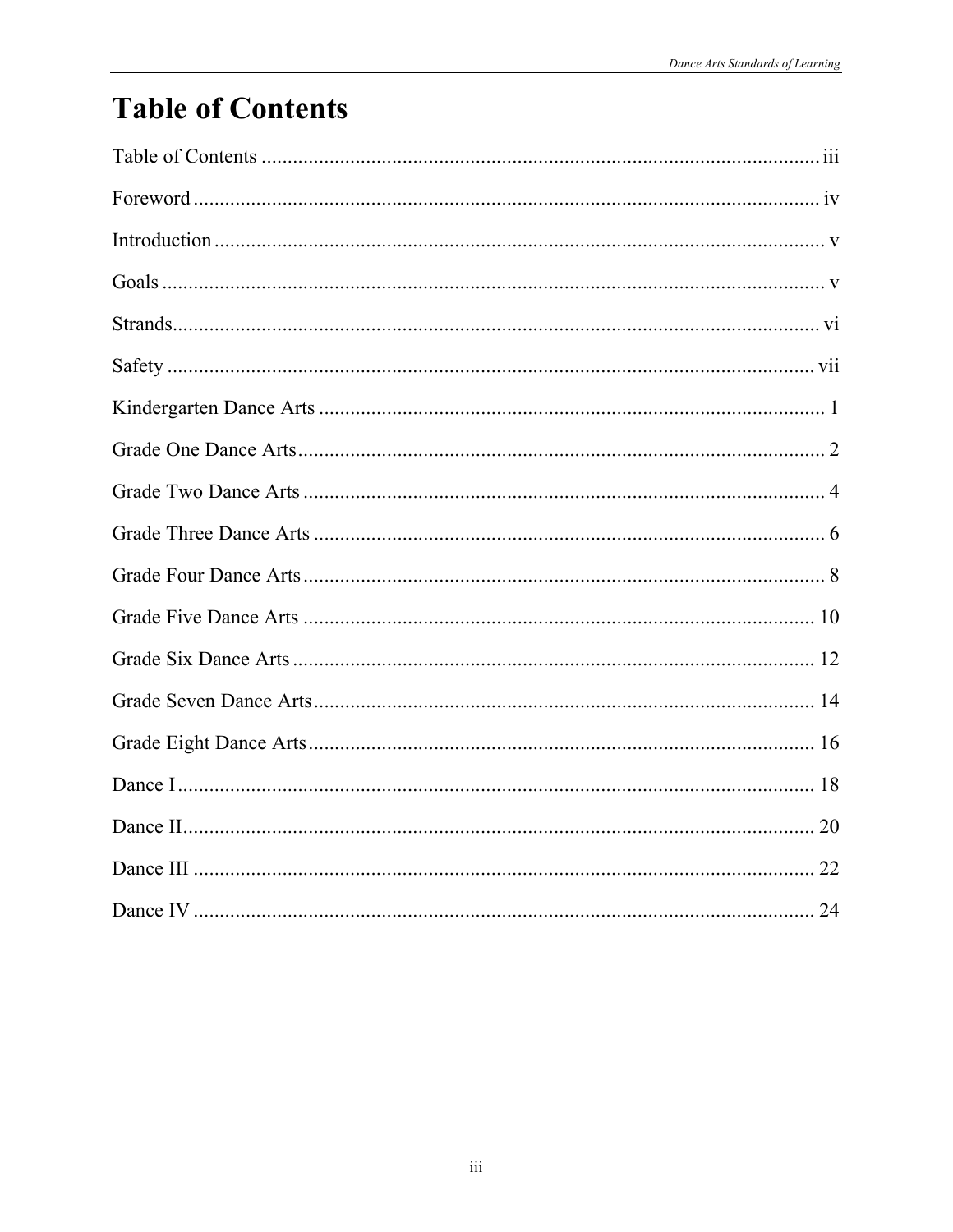# **Table of Contents**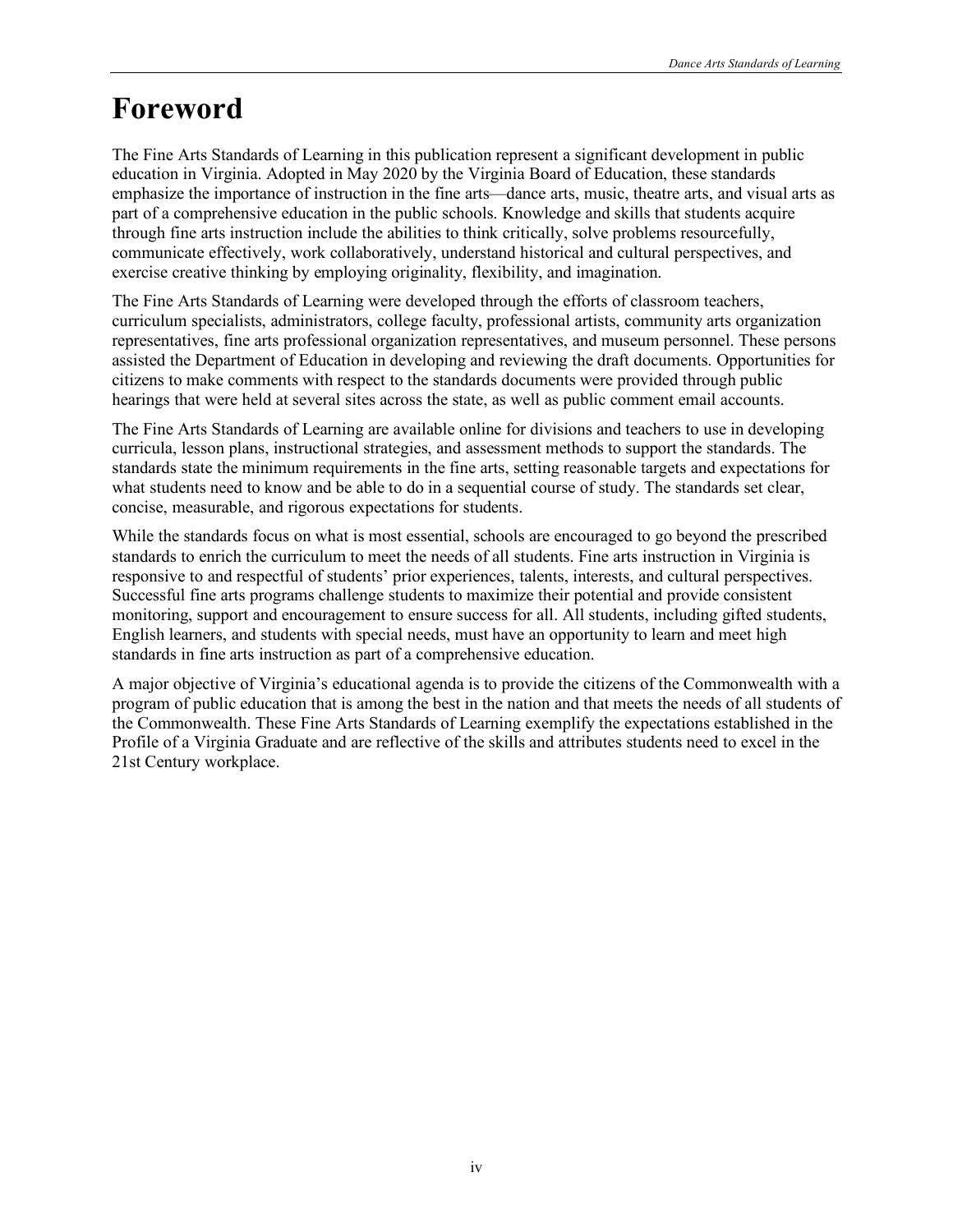# **Foreword**

The Fine Arts Standards of Learning in this publication represent a significant development in public education in Virginia. Adopted in May 2020 by the Virginia Board of Education, these standards emphasize the importance of instruction in the fine arts—dance arts, music, theatre arts, and visual arts as part of a comprehensive education in the public schools. Knowledge and skills that students acquire through fine arts instruction include the abilities to think critically, solve problems resourcefully, communicate effectively, work collaboratively, understand historical and cultural perspectives, and exercise creative thinking by employing originality, flexibility, and imagination.

The Fine Arts Standards of Learning were developed through the efforts of classroom teachers, curriculum specialists, administrators, college faculty, professional artists, community arts organization representatives, fine arts professional organization representatives, and museum personnel. These persons assisted the Department of Education in developing and reviewing the draft documents. Opportunities for citizens to make comments with respect to the standards documents were provided through public hearings that were held at several sites across the state, as well as public comment email accounts.

The Fine Arts Standards of Learning are available online for divisions and teachers to use in developing curricula, lesson plans, instructional strategies, and assessment methods to support the standards. The standards state the minimum requirements in the fine arts, setting reasonable targets and expectations for what students need to know and be able to do in a sequential course of study. The standards set clear, concise, measurable, and rigorous expectations for students.

While the standards focus on what is most essential, schools are encouraged to go beyond the prescribed standards to enrich the curriculum to meet the needs of all students. Fine arts instruction in Virginia is responsive to and respectful of students' prior experiences, talents, interests, and cultural perspectives. Successful fine arts programs challenge students to maximize their potential and provide consistent monitoring, support and encouragement to ensure success for all. All students, including gifted students, English learners, and students with special needs, must have an opportunity to learn and meet high standards in fine arts instruction as part of a comprehensive education.

A major objective of Virginia's educational agenda is to provide the citizens of the Commonwealth with a program of public education that is among the best in the nation and that meets the needs of all students of the Commonwealth. These Fine Arts Standards of Learning exemplify the expectations established in the Profile of a Virginia Graduate and are reflective of the skills and attributes students need to excel in the 21st Century workplace.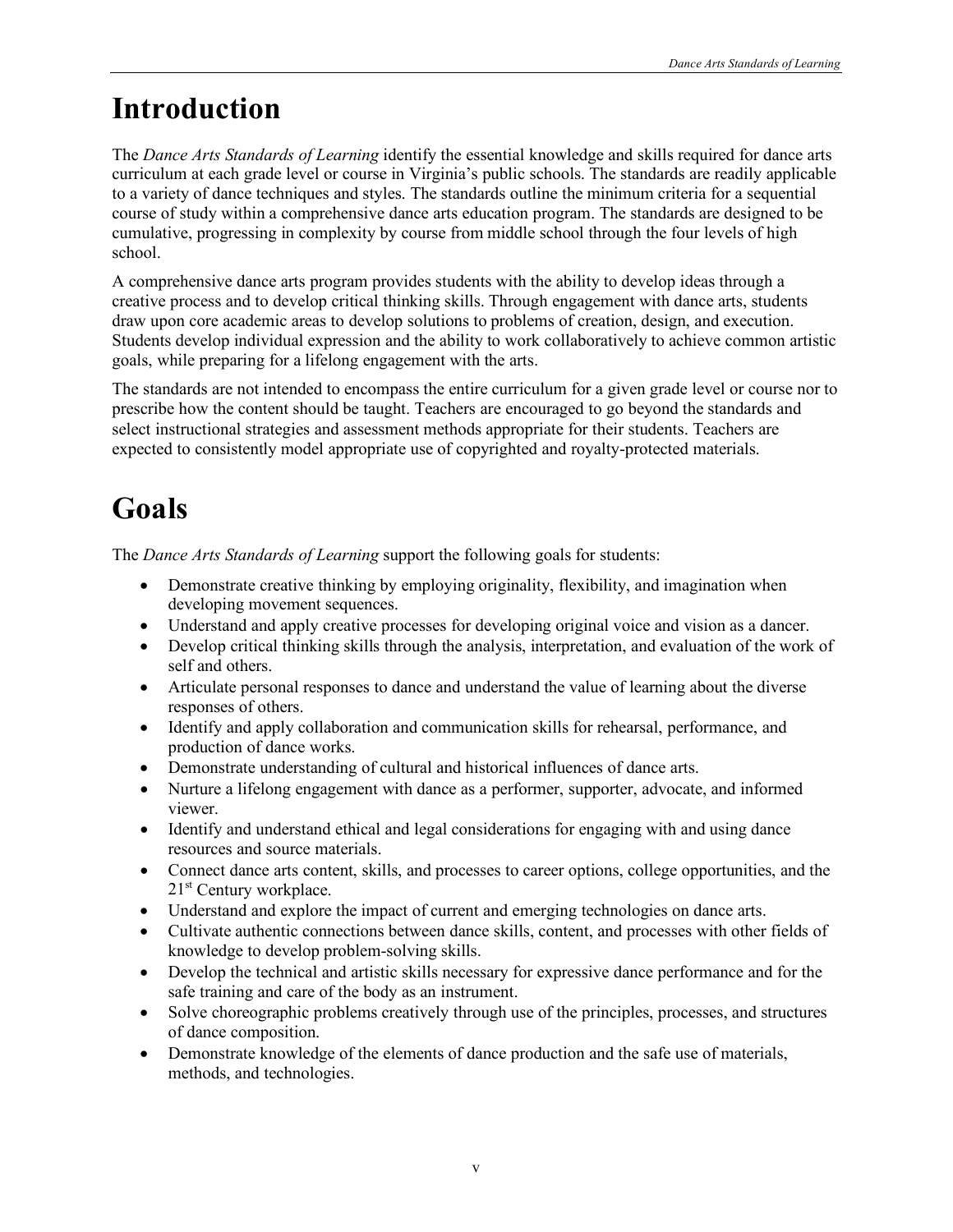# **Introduction**

The *Dance Arts Standards of Learning* identify the essential knowledge and skills required for dance arts curriculum at each grade level or course in Virginia's public schools. The standards are readily applicable to a variety of dance techniques and styles. The standards outline the minimum criteria for a sequential course of study within a comprehensive dance arts education program. The standards are designed to be cumulative, progressing in complexity by course from middle school through the four levels of high school.

A comprehensive dance arts program provides students with the ability to develop ideas through a creative process and to develop critical thinking skills. Through engagement with dance arts, students draw upon core academic areas to develop solutions to problems of creation, design, and execution. Students develop individual expression and the ability to work collaboratively to achieve common artistic goals, while preparing for a lifelong engagement with the arts.

The standards are not intended to encompass the entire curriculum for a given grade level or course nor to prescribe how the content should be taught. Teachers are encouraged to go beyond the standards and select instructional strategies and assessment methods appropriate for their students. Teachers are expected to consistently model appropriate use of copyrighted and royalty-protected materials.

# **Goals**

The *Dance Arts Standards of Learning* support the following goals for students:

- Demonstrate creative thinking by employing originality, flexibility, and imagination when developing movement sequences.
- Understand and apply creative processes for developing original voice and vision as a dancer.
- Develop critical thinking skills through the analysis, interpretation, and evaluation of the work of self and others.
- Articulate personal responses to dance and understand the value of learning about the diverse responses of others.
- Identify and apply collaboration and communication skills for rehearsal, performance, and production of dance works.
- Demonstrate understanding of cultural and historical influences of dance arts.
- Nurture a lifelong engagement with dance as a performer, supporter, advocate, and informed viewer.
- Identify and understand ethical and legal considerations for engaging with and using dance resources and source materials.
- Connect dance arts content, skills, and processes to career options, college opportunities, and the 21<sup>st</sup> Century workplace.
- Understand and explore the impact of current and emerging technologies on dance arts.
- Cultivate authentic connections between dance skills, content, and processes with other fields of knowledge to develop problem-solving skills.
- Develop the technical and artistic skills necessary for expressive dance performance and for the safe training and care of the body as an instrument.
- Solve choreographic problems creatively through use of the principles, processes, and structures of dance composition.
- Demonstrate knowledge of the elements of dance production and the safe use of materials, methods, and technologies.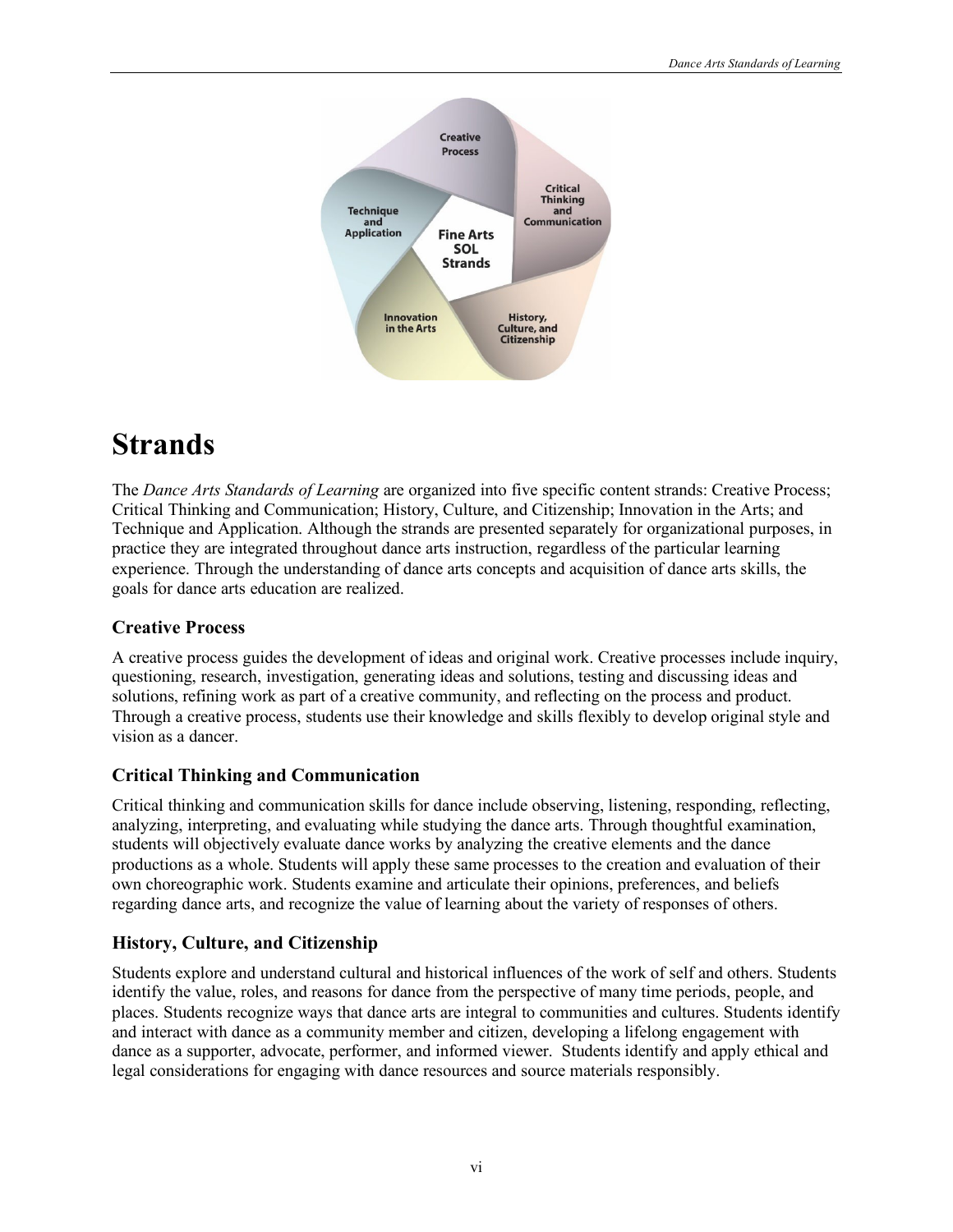

# **Strands**

The *Dance Arts Standards of Learning* are organized into five specific content strands: Creative Process; Critical Thinking and Communication; History, Culture, and Citizenship; Innovation in the Arts; and Technique and Application. Although the strands are presented separately for organizational purposes, in practice they are integrated throughout dance arts instruction, regardless of the particular learning experience. Through the understanding of dance arts concepts and acquisition of dance arts skills, the goals for dance arts education are realized.

#### **Creative Process**

A creative process guides the development of ideas and original work. Creative processes include inquiry, questioning, research, investigation, generating ideas and solutions, testing and discussing ideas and solutions, refining work as part of a creative community, and reflecting on the process and product. Through a creative process, students use their knowledge and skills flexibly to develop original style and vision as a dancer.

#### **Critical Thinking and Communication**

Critical thinking and communication skills for dance include observing, listening, responding, reflecting, analyzing, interpreting, and evaluating while studying the dance arts. Through thoughtful examination, students will objectively evaluate dance works by analyzing the creative elements and the dance productions as a whole. Students will apply these same processes to the creation and evaluation of their own choreographic work. Students examine and articulate their opinions, preferences, and beliefs regarding dance arts, and recognize the value of learning about the variety of responses of others.

#### **History, Culture, and Citizenship**

Students explore and understand cultural and historical influences of the work of self and others. Students identify the value, roles, and reasons for dance from the perspective of many time periods, people, and places. Students recognize ways that dance arts are integral to communities and cultures. Students identify and interact with dance as a community member and citizen, developing a lifelong engagement with dance as a supporter, advocate, performer, and informed viewer. Students identify and apply ethical and legal considerations for engaging with dance resources and source materials responsibly.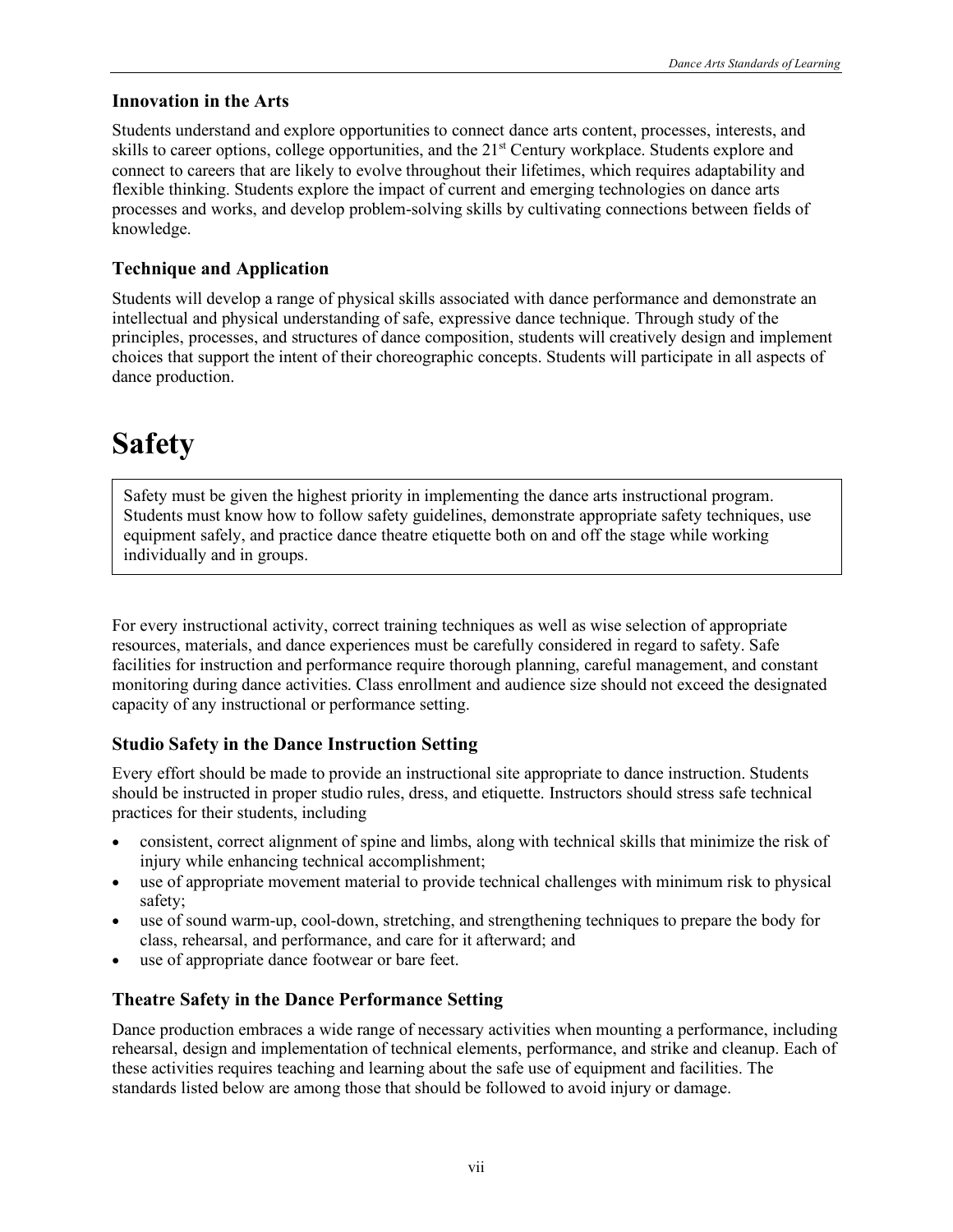#### **Innovation in the Arts**

Students understand and explore opportunities to connect dance arts content, processes, interests, and skills to career options, college opportunities, and the  $21<sup>st</sup>$  Century workplace. Students explore and connect to careers that are likely to evolve throughout their lifetimes, which requires adaptability and flexible thinking. Students explore the impact of current and emerging technologies on dance arts processes and works, and develop problem-solving skills by cultivating connections between fields of knowledge.

### **Technique and Application**

Students will develop a range of physical skills associated with dance performance and demonstrate an intellectual and physical understanding of safe, expressive dance technique. Through study of the principles, processes, and structures of dance composition, students will creatively design and implement choices that support the intent of their choreographic concepts. Students will participate in all aspects of dance production.

# **Safety**

Safety must be given the highest priority in implementing the dance arts instructional program. Students must know how to follow safety guidelines, demonstrate appropriate safety techniques, use equipment safely, and practice dance theatre etiquette both on and off the stage while working individually and in groups.

For every instructional activity, correct training techniques as well as wise selection of appropriate resources, materials, and dance experiences must be carefully considered in regard to safety. Safe facilities for instruction and performance require thorough planning, careful management, and constant monitoring during dance activities. Class enrollment and audience size should not exceed the designated capacity of any instructional or performance setting.

#### **Studio Safety in the Dance Instruction Setting**

Every effort should be made to provide an instructional site appropriate to dance instruction. Students should be instructed in proper studio rules, dress, and etiquette. Instructors should stress safe technical practices for their students, including

- consistent, correct alignment of spine and limbs, along with technical skills that minimize the risk of injury while enhancing technical accomplishment;
- use of appropriate movement material to provide technical challenges with minimum risk to physical safety;
- use of sound warm-up, cool-down, stretching, and strengthening techniques to prepare the body for class, rehearsal, and performance, and care for it afterward; and
- use of appropriate dance footwear or bare feet.

#### **Theatre Safety in the Dance Performance Setting**

Dance production embraces a wide range of necessary activities when mounting a performance, including rehearsal, design and implementation of technical elements, performance, and strike and cleanup. Each of these activities requires teaching and learning about the safe use of equipment and facilities. The standards listed below are among those that should be followed to avoid injury or damage.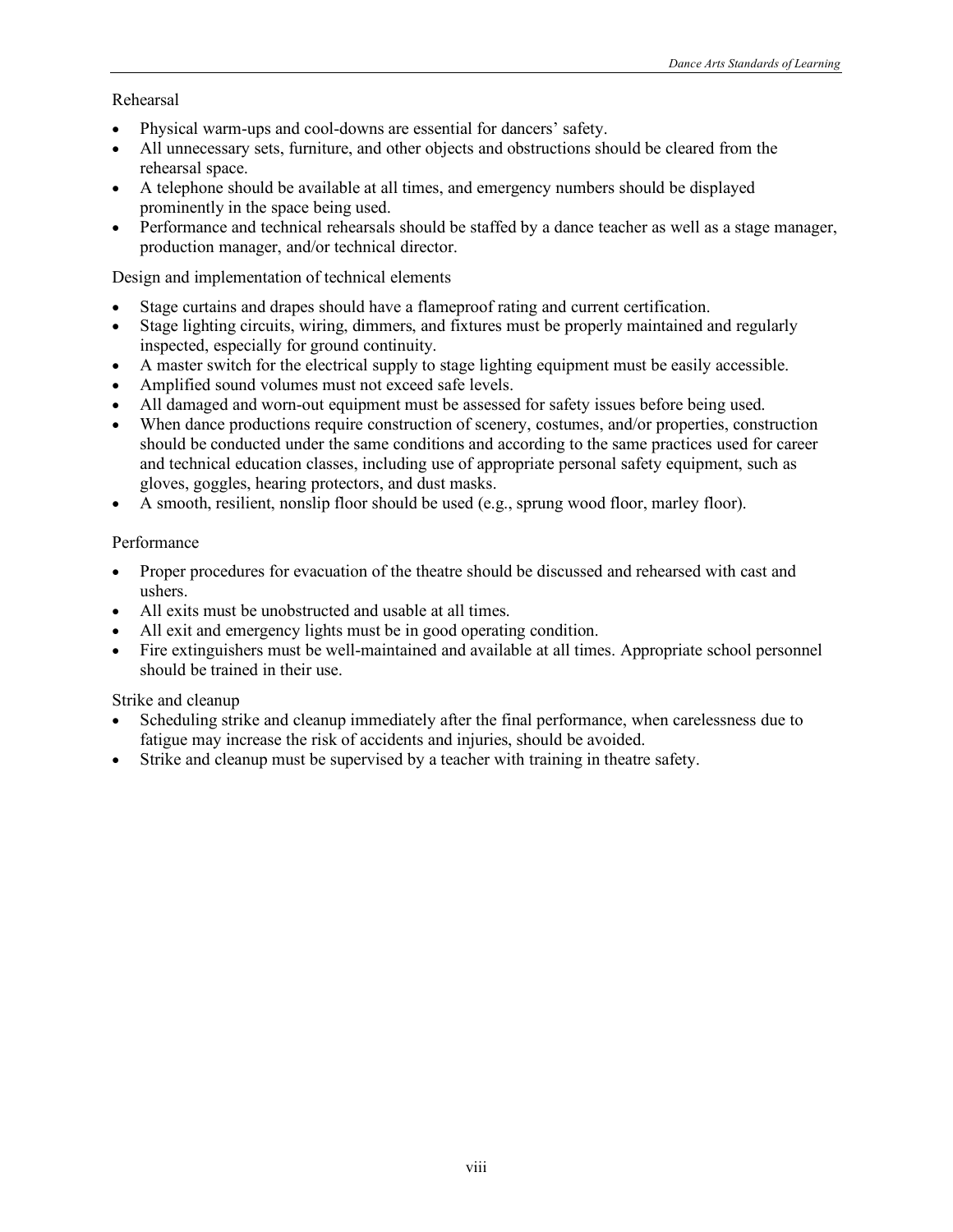#### Rehearsal

- Physical warm-ups and cool-downs are essential for dancers' safety.
- All unnecessary sets, furniture, and other objects and obstructions should be cleared from the rehearsal space.
- A telephone should be available at all times, and emergency numbers should be displayed prominently in the space being used.
- Performance and technical rehearsals should be staffed by a dance teacher as well as a stage manager, production manager, and/or technical director.

Design and implementation of technical elements

- Stage curtains and drapes should have a flameproof rating and current certification.
- Stage lighting circuits, wiring, dimmers, and fixtures must be properly maintained and regularly inspected, especially for ground continuity.
- A master switch for the electrical supply to stage lighting equipment must be easily accessible.
- Amplified sound volumes must not exceed safe levels.
- All damaged and worn-out equipment must be assessed for safety issues before being used.
- When dance productions require construction of scenery, costumes, and/or properties, construction should be conducted under the same conditions and according to the same practices used for career and technical education classes, including use of appropriate personal safety equipment, such as gloves, goggles, hearing protectors, and dust masks.
- A smooth, resilient, nonslip floor should be used (e.g., sprung wood floor, marley floor).

#### Performance

- Proper procedures for evacuation of the theatre should be discussed and rehearsed with cast and ushers.
- All exits must be unobstructed and usable at all times.
- All exit and emergency lights must be in good operating condition.
- Fire extinguishers must be well-maintained and available at all times. Appropriate school personnel should be trained in their use.

#### Strike and cleanup

- Scheduling strike and cleanup immediately after the final performance, when carelessness due to fatigue may increase the risk of accidents and injuries, should be avoided.
- Strike and cleanup must be supervised by a teacher with training in theatre safety.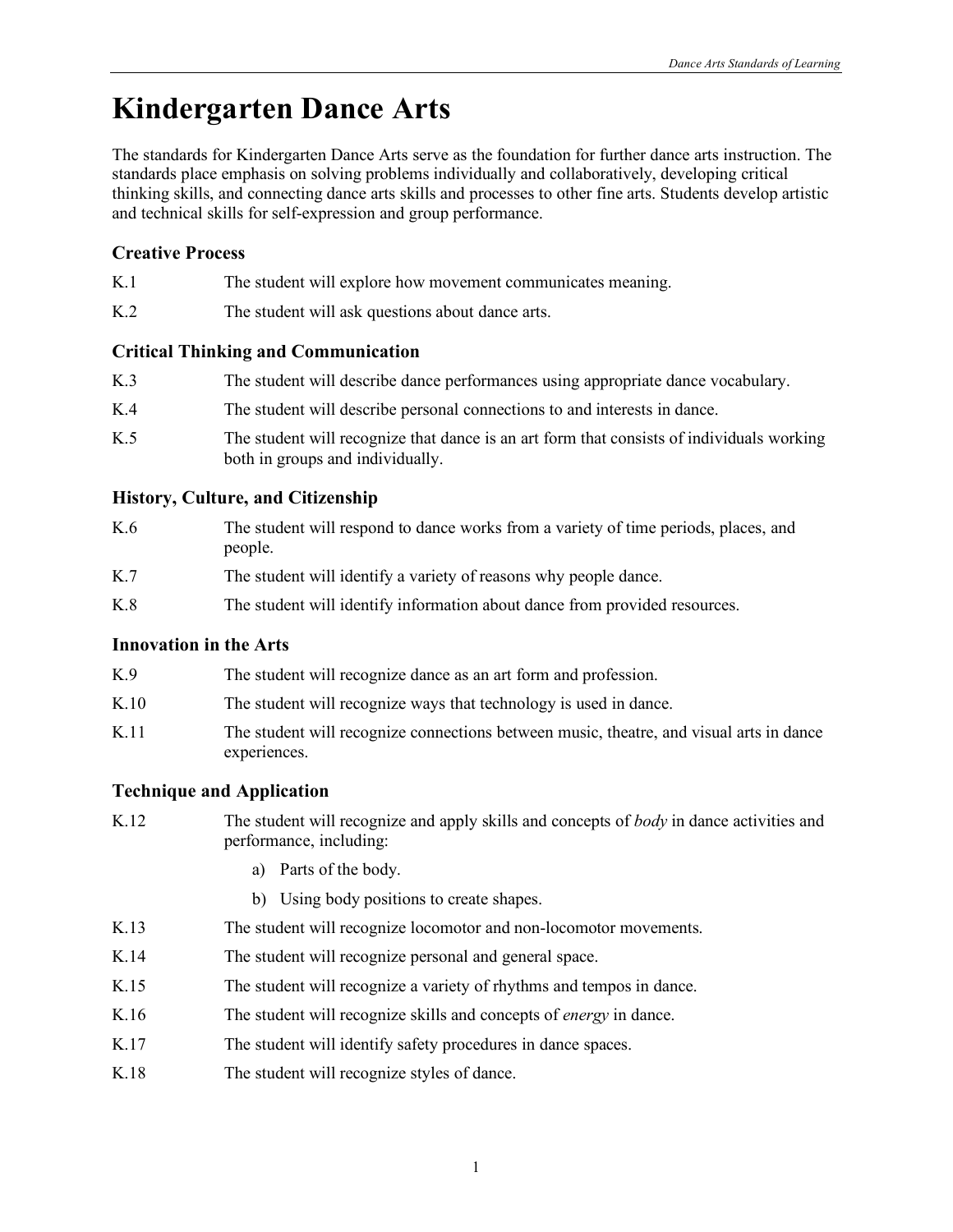# **Kindergarten Dance Arts**

The standards for Kindergarten Dance Arts serve as the foundation for further dance arts instruction. The standards place emphasis on solving problems individually and collaboratively, developing critical thinking skills, and connecting dance arts skills and processes to other fine arts. Students develop artistic and technical skills for self-expression and group performance.

### **Creative Process**

- K.1 The student will explore how movement communicates meaning.
- K.2 The student will ask questions about dance arts.

#### **Critical Thinking and Communication**

| K.3 | The student will describe dance performances using appropriate dance vocabulary.                                              |
|-----|-------------------------------------------------------------------------------------------------------------------------------|
| K.4 | The student will describe personal connections to and interests in dance.                                                     |
| K.5 | The student will recognize that dance is an art form that consists of individuals working<br>both in groups and individually. |

#### **History, Culture, and Citizenship**

| K.6 | The student will respond to dance works from a variety of time periods, places, and<br>people. |
|-----|------------------------------------------------------------------------------------------------|
| K.7 | The student will identify a variety of reasons why people dance.                               |
| K.8 | The student will identify information about dance from provided resources.                     |

#### **Innovation in the Arts**

| K.9  | The student will recognize dance as an art form and profession.                                         |
|------|---------------------------------------------------------------------------------------------------------|
| K.10 | The student will recognize ways that technology is used in dance.                                       |
| K.11 | The student will recognize connections between music, theatre, and visual arts in dance<br>experiences. |

- K.12 The student will recognize and apply skills and concepts of *body* in dance activities and performance, including:
	- a) Parts of the body.
	- b) Using body positions to create shapes.
- K.13 The student will recognize locomotor and non-locomotor movements.
- K.14 The student will recognize personal and general space.
- K.15 The student will recognize a variety of rhythms and tempos in dance.
- K.16 The student will recognize skills and concepts of *energy* in dance.
- K.17 The student will identify safety procedures in dance spaces.
- K.18 The student will recognize styles of dance.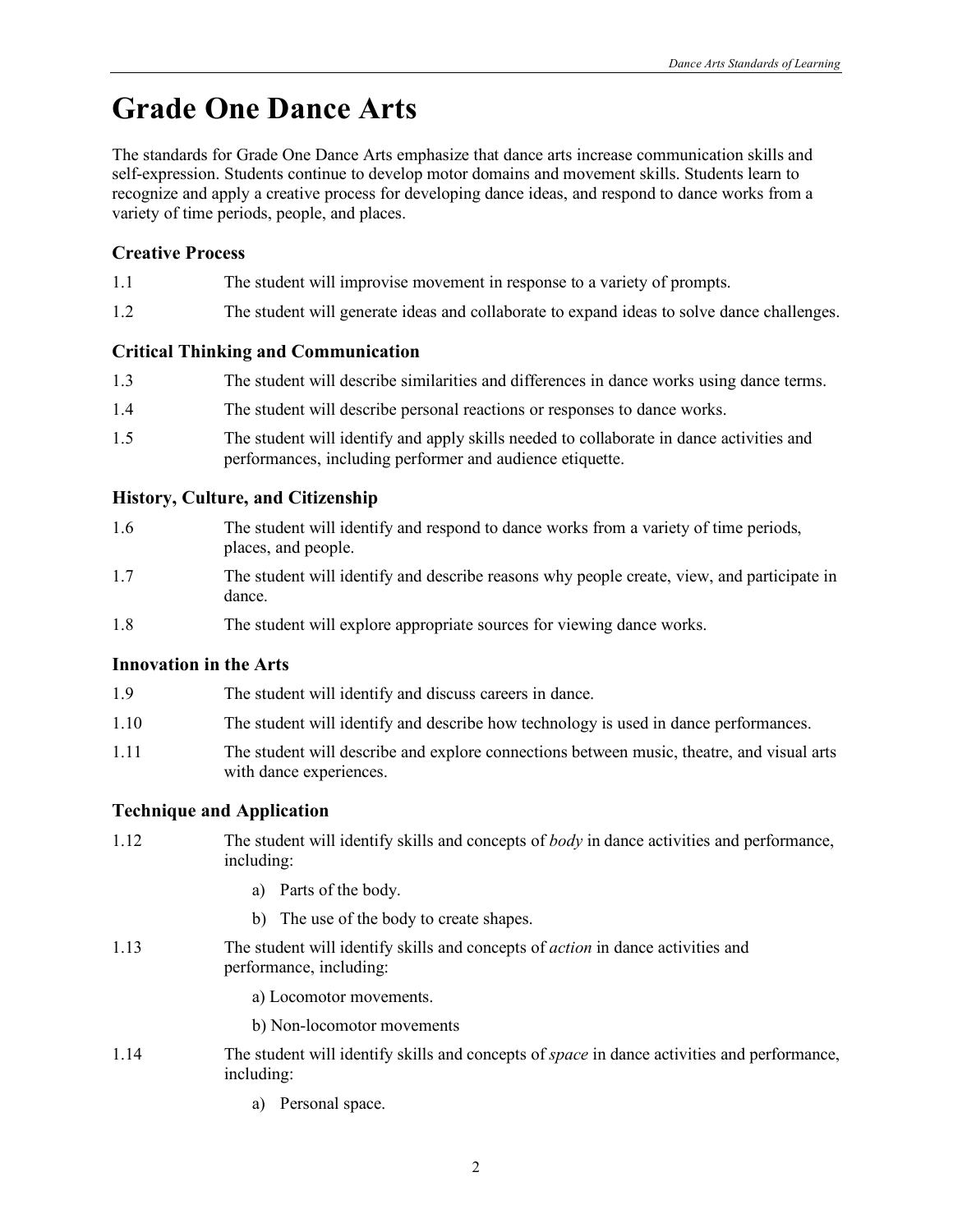# **Grade One Dance Arts**

The standards for Grade One Dance Arts emphasize that dance arts increase communication skills and self-expression. Students continue to develop motor domains and movement skills. Students learn to recognize and apply a creative process for developing dance ideas, and respond to dance works from a variety of time periods, people, and places.

### **Creative Process**

- 1.1 The student will improvise movement in response to a variety of prompts.
- 1.2 The student will generate ideas and collaborate to expand ideas to solve dance challenges.

#### **Critical Thinking and Communication**

| 1.3 | The student will describe similarities and differences in dance works using dance terms.                                                              |
|-----|-------------------------------------------------------------------------------------------------------------------------------------------------------|
| 1.4 | The student will describe personal reactions or responses to dance works.                                                                             |
| 1.5 | The student will identify and apply skills needed to collaborate in dance activities and<br>performances, including performer and audience etiquette. |

#### **History, Culture, and Citizenship**

| 1.6 | The student will identify and respond to dance works from a variety of time periods,<br>places, and people. |
|-----|-------------------------------------------------------------------------------------------------------------|
| 17  | The student will identify and describe reasons why people create view and participate                       |

- 1.7 The student will identify and describe reasons why people create, view, and participate in dance.
- 1.8 The student will explore appropriate sources for viewing dance works.

#### **Innovation in the Arts**

| The student will identify and discuss careers in dance.<br>1.9 |  |  |
|----------------------------------------------------------------|--|--|
|----------------------------------------------------------------|--|--|

- 1.10 The student will identify and describe how technology is used in dance performances.
- 1.11 The student will describe and explore connections between music, theatre, and visual arts with dance experiences.

#### **Technique and Application**

- 1.12 The student will identify skills and concepts of *body* in dance activities and performance, including:
	- a) Parts of the body.
	- b) The use of the body to create shapes.
- 1.13 The student will identify skills and concepts of *action* in dance activities and performance, including:

a) Locomotor movements.

b) Non-locomotor movements

- 1.14 The student will identify skills and concepts of *space* in dance activities and performance, including:
	- a) Personal space.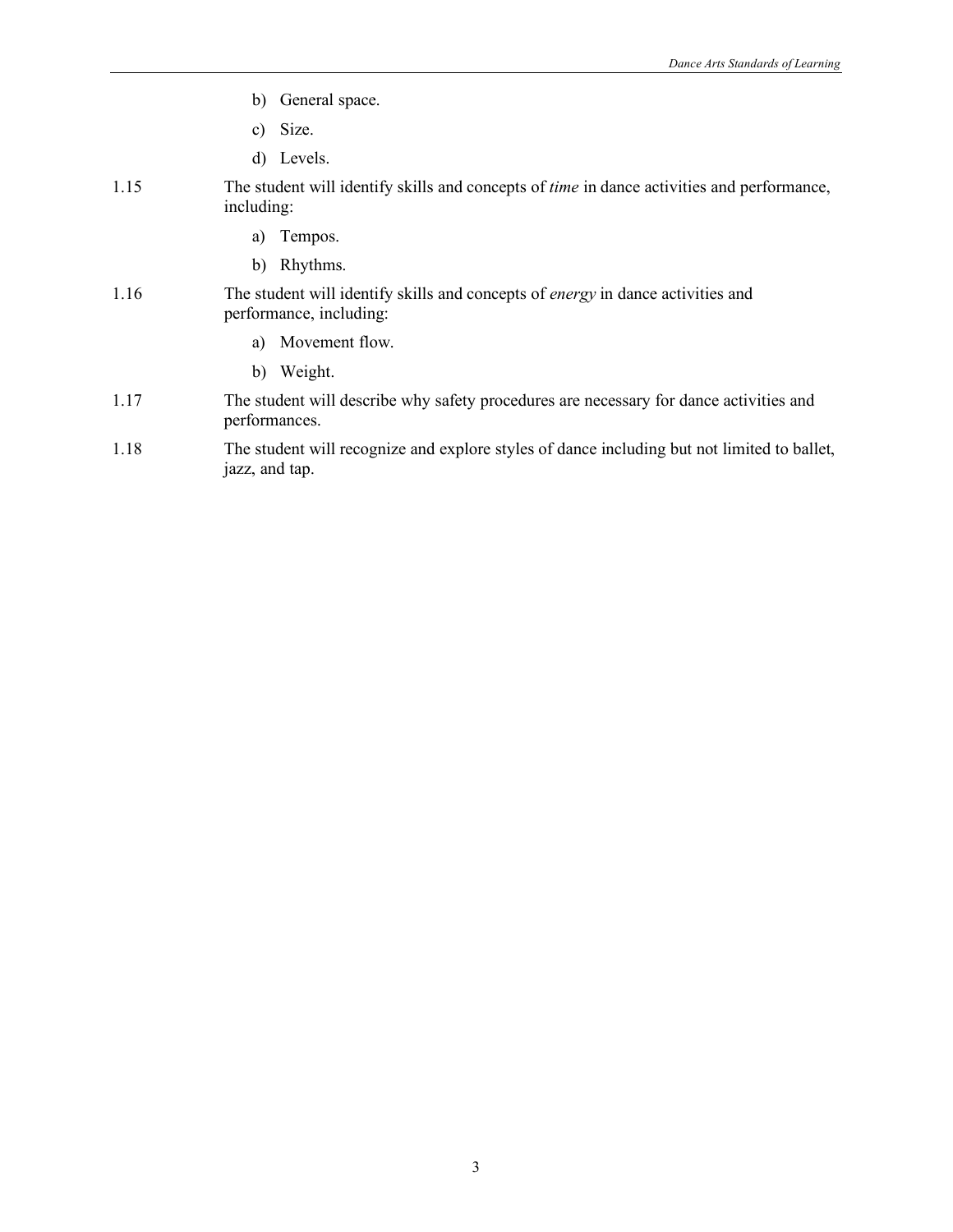- b) General space.
- c) Size.
- d) Levels.
- 1.15 The student will identify skills and concepts of *time* in dance activities and performance, including:
	- a) Tempos.
	- b) Rhythms.

#### 1.16 The student will identify skills and concepts of *energy* in dance activities and performance, including:

- a) Movement flow.
- b) Weight.
- 1.17 The student will describe why safety procedures are necessary for dance activities and performances.
- 1.18 The student will recognize and explore styles of dance including but not limited to ballet, jazz, and tap.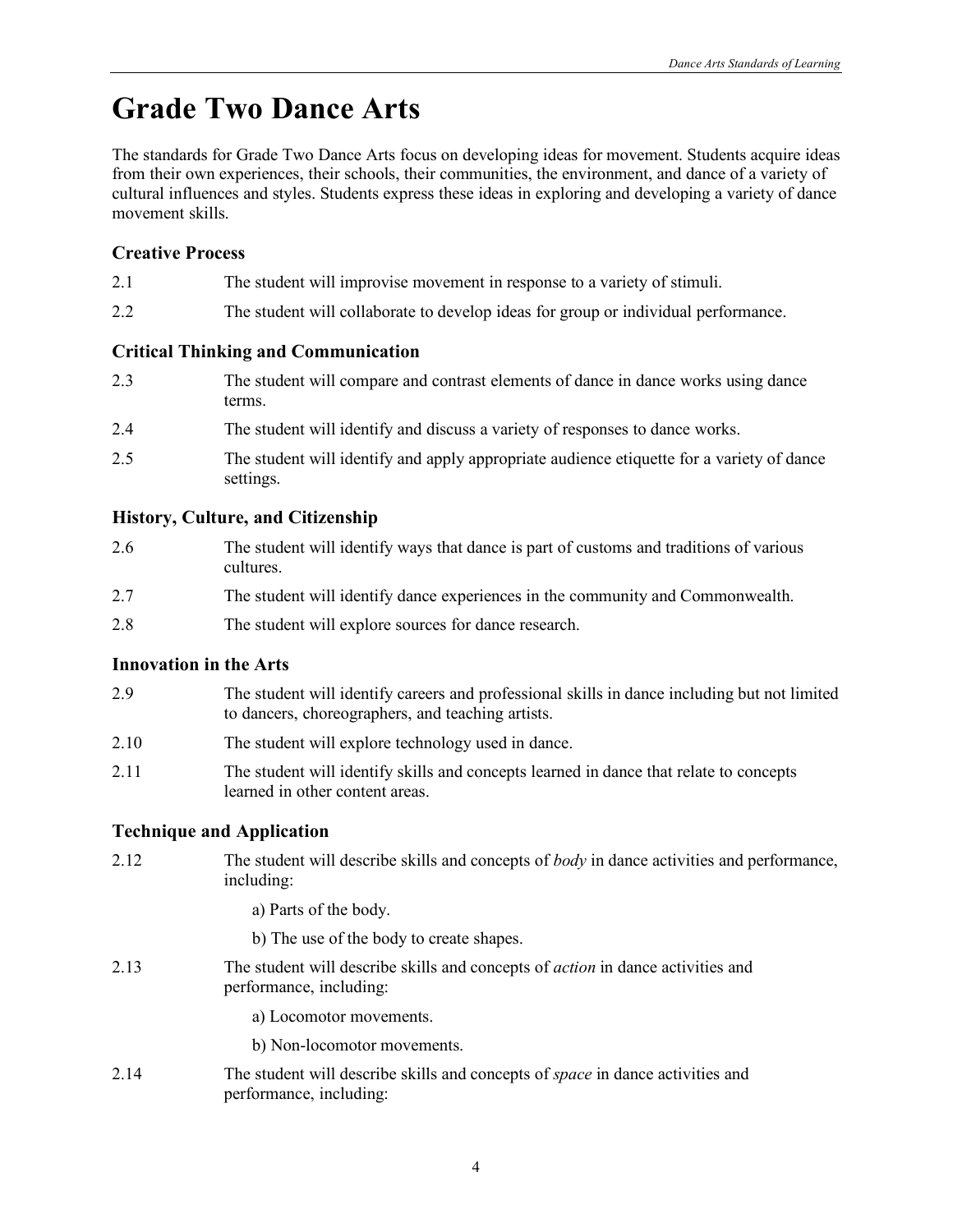# **Grade Two Dance Arts**

The standards for Grade Two Dance Arts focus on developing ideas for movement. Students acquire ideas from their own experiences, their schools, their communities, the environment, and dance of a variety of cultural influences and styles. Students express these ideas in exploring and developing a variety of dance movement skills.

### **Creative Process**

- 2.1 The student will improvise movement in response to a variety of stimuli.
- 2.2 The student will collaborate to develop ideas for group or individual performance.

#### **Critical Thinking and Communication**

- 2.3 The student will compare and contrast elements of dance in dance works using dance terms.
- 2.4 The student will identify and discuss a variety of responses to dance works.
- 2.5 The student will identify and apply appropriate audience etiquette for a variety of dance settings.

#### **History, Culture, and Citizenship**

| 2.6 | The student will identify ways that dance is part of customs and traditions of various<br>cultures. |
|-----|-----------------------------------------------------------------------------------------------------|
| 2.7 | The student will identify dance experiences in the community and Commonwealth.                      |
| 2.8 | The student will explore sources for dance research.                                                |

#### **Innovation in the Arts**

- 2.9 The student will identify careers and professional skills in dance including but not limited to dancers, choreographers, and teaching artists.
- 2.10 The student will explore technology used in dance.
- 2.11 The student will identify skills and concepts learned in dance that relate to concepts learned in other content areas.

#### **Technique and Application**

2.12 The student will describe skills and concepts of *body* in dance activities and performance, including:

a) Parts of the body.

b) The use of the body to create shapes.

- 2.13 The student will describe skills and concepts of *action* in dance activities and performance, including:
	- a) Locomotor movements.
	- b) Non-locomotor movements.
- 2.14 The student will describe skills and concepts of *space* in dance activities and performance, including: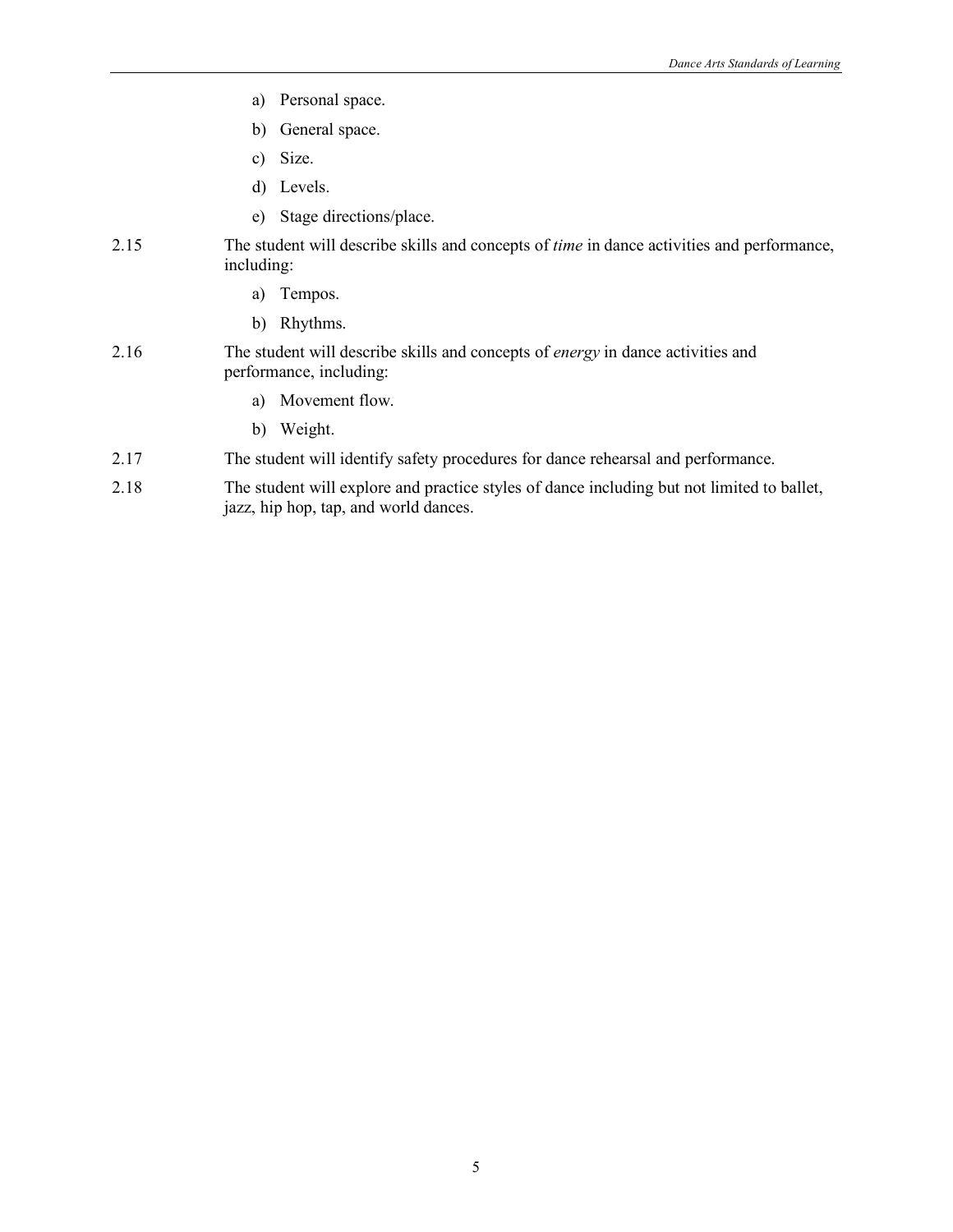- a) Personal space.
- b) General space.
- c) Size.
- d) Levels.
- e) Stage directions/place.
- 2.15 The student will describe skills and concepts of *time* in dance activities and performance, including:
	- a) Tempos.
	- b) Rhythms.
- 2.16 The student will describe skills and concepts of *energy* in dance activities and performance, including:
	- a) Movement flow.
	- b) Weight.
- 2.17 The student will identify safety procedures for dance rehearsal and performance.
- 2.18 The student will explore and practice styles of dance including but not limited to ballet, jazz, hip hop, tap, and world dances.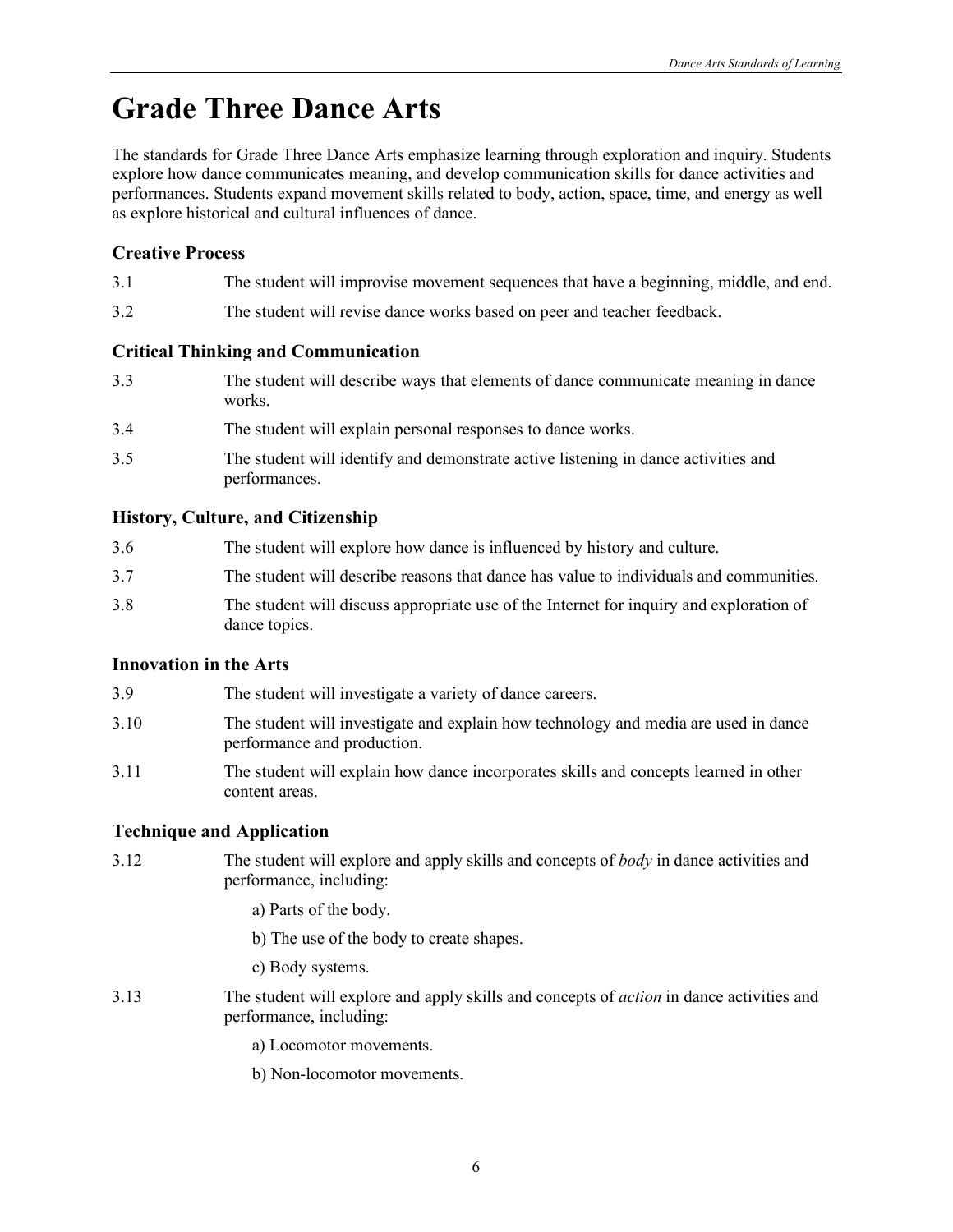# **Grade Three Dance Arts**

The standards for Grade Three Dance Arts emphasize learning through exploration and inquiry. Students explore how dance communicates meaning, and develop communication skills for dance activities and performances. Students expand movement skills related to body, action, space, time, and energy as well as explore historical and cultural influences of dance.

### **Creative Process**

- 3.1 The student will improvise movement sequences that have a beginning, middle, and end.
- 3.2 The student will revise dance works based on peer and teacher feedback.

### **Critical Thinking and Communication**

- 3.3 The student will describe ways that elements of dance communicate meaning in dance works.
- 3.4 The student will explain personal responses to dance works.
- 3.5 The student will identify and demonstrate active listening in dance activities and performances.

## **History, Culture, and Citizenship**

| 3.6 | The student will explore how dance is influenced by history and culture.                                 |
|-----|----------------------------------------------------------------------------------------------------------|
| 3.7 | The student will describe reasons that dance has value to individuals and communities.                   |
| 3.8 | The student will discuss appropriate use of the Internet for inquiry and exploration of<br>dance topics. |

### **Innovation in the Arts**

- 3.9 The student will investigate a variety of dance careers.
- 3.10 The student will investigate and explain how technology and media are used in dance performance and production.
- 3.11 The student will explain how dance incorporates skills and concepts learned in other content areas.

# **Technique and Application**

3.12 The student will explore and apply skills and concepts of *body* in dance activities and performance, including:

a) Parts of the body.

b) The use of the body to create shapes.

c) Body systems.

3.13 The student will explore and apply skills and concepts of *action* in dance activities and performance, including:

a) Locomotor movements.

b) Non-locomotor movements.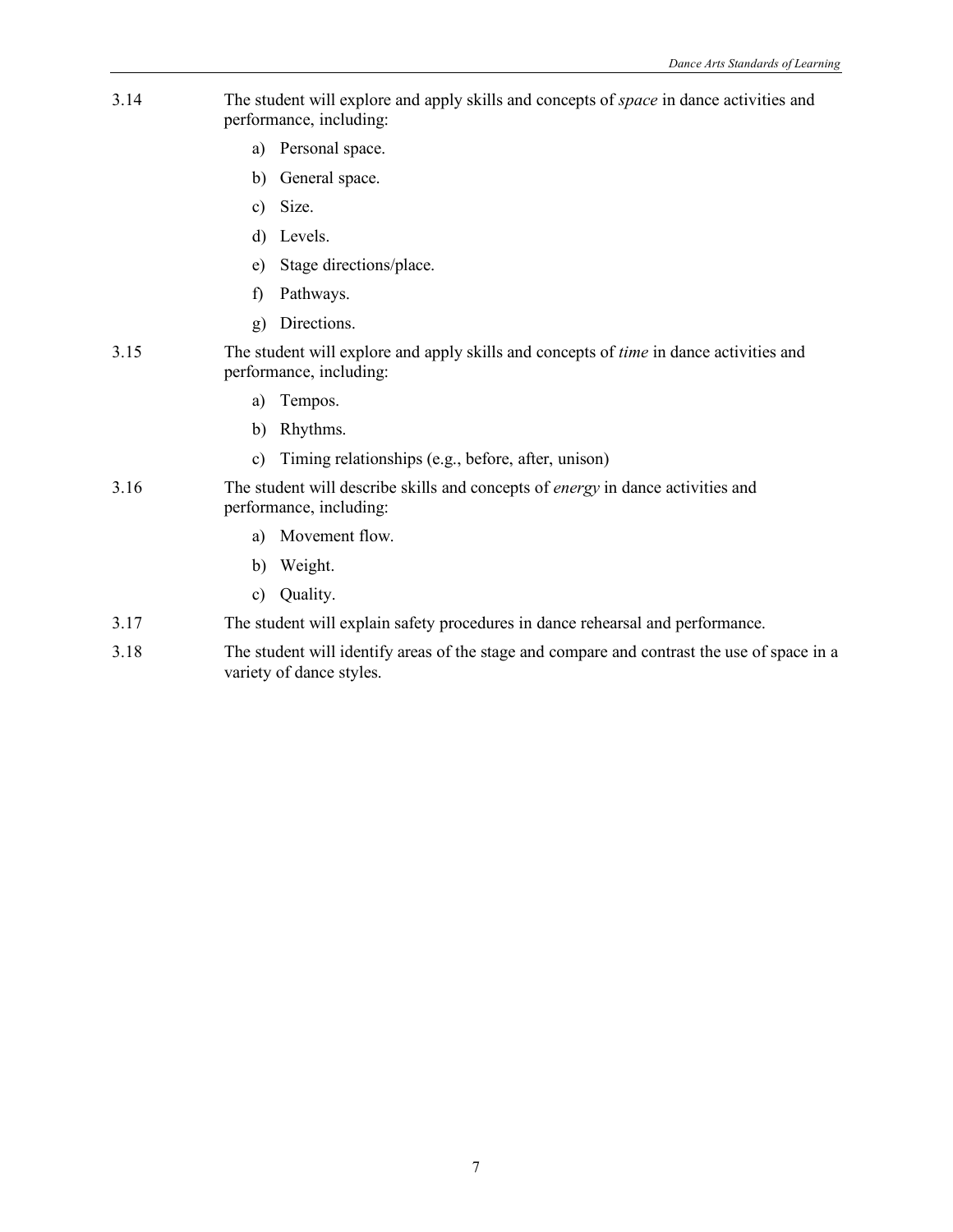- 3.14 The student will explore and apply skills and concepts of *space* in dance activities and performance, including:
	- a) Personal space.
	- b) General space.
	- c) Size.
	- d) Levels.
	- e) Stage directions/place.
	- f) Pathways.
	- g) Directions.
- 3.15 The student will explore and apply skills and concepts of *time* in dance activities and performance, including:
	- a) Tempos.
	- b) Rhythms.
	- c) Timing relationships (e.g., before, after, unison)
- 3.16 The student will describe skills and concepts of *energy* in dance activities and performance, including:
	- a) Movement flow.
	- b) Weight.
	- c) Quality.
- 3.17 The student will explain safety procedures in dance rehearsal and performance.
- 3.18 The student will identify areas of the stage and compare and contrast the use of space in a variety of dance styles.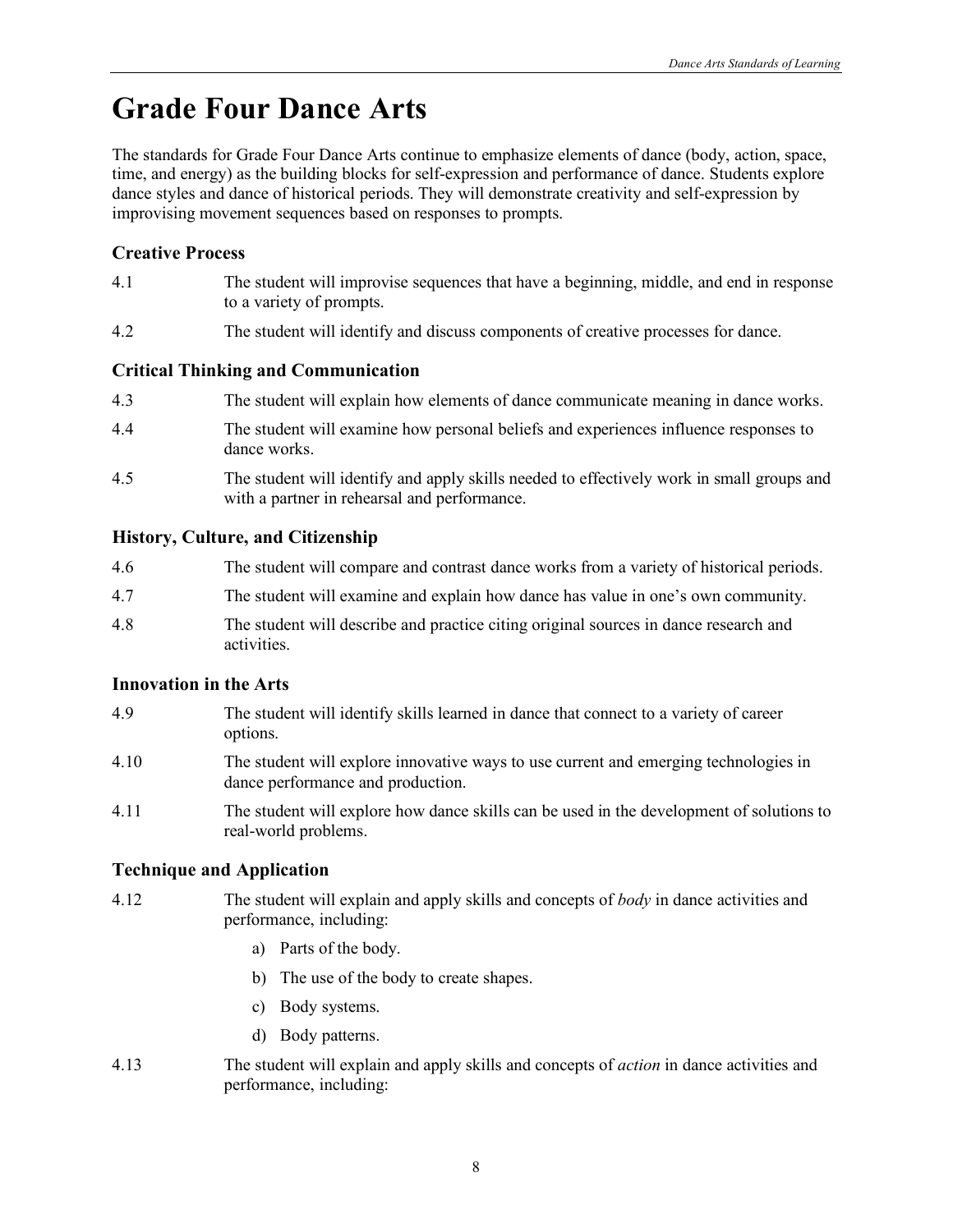# **Grade Four Dance Arts**

The standards for Grade Four Dance Arts continue to emphasize elements of dance (body, action, space, time, and energy) as the building blocks for self-expression and performance of dance. Students explore dance styles and dance of historical periods. They will demonstrate creativity and self-expression by improvising movement sequences based on responses to prompts.

### **Creative Process**

- 4.1 The student will improvise sequences that have a beginning, middle, and end in response to a variety of prompts.
- 4.2 The student will identify and discuss components of creative processes for dance.

### **Critical Thinking and Communication**

- 4.3 The student will explain how elements of dance communicate meaning in dance works.
- 4.4 The student will examine how personal beliefs and experiences influence responses to dance works.
- 4.5 The student will identify and apply skills needed to effectively work in small groups and with a partner in rehearsal and performance.

#### **History, Culture, and Citizenship**

- 4.6 The student will compare and contrast dance works from a variety of historical periods.
- 4.7 The student will examine and explain how dance has value in one's own community.
- 4.8 The student will describe and practice citing original sources in dance research and activities.

#### **Innovation in the Arts**

- 4.9 The student will identify skills learned in dance that connect to a variety of career options.
- 4.10 The student will explore innovative ways to use current and emerging technologies in dance performance and production.
- 4.11 The student will explore how dance skills can be used in the development of solutions to real-world problems.

- 4.12 The student will explain and apply skills and concepts of *body* in dance activities and performance, including:
	- a) Parts of the body.
	- b) The use of the body to create shapes.
	- c) Body systems.
	- d) Body patterns.
- 4.13 The student will explain and apply skills and concepts of *action* in dance activities and performance, including: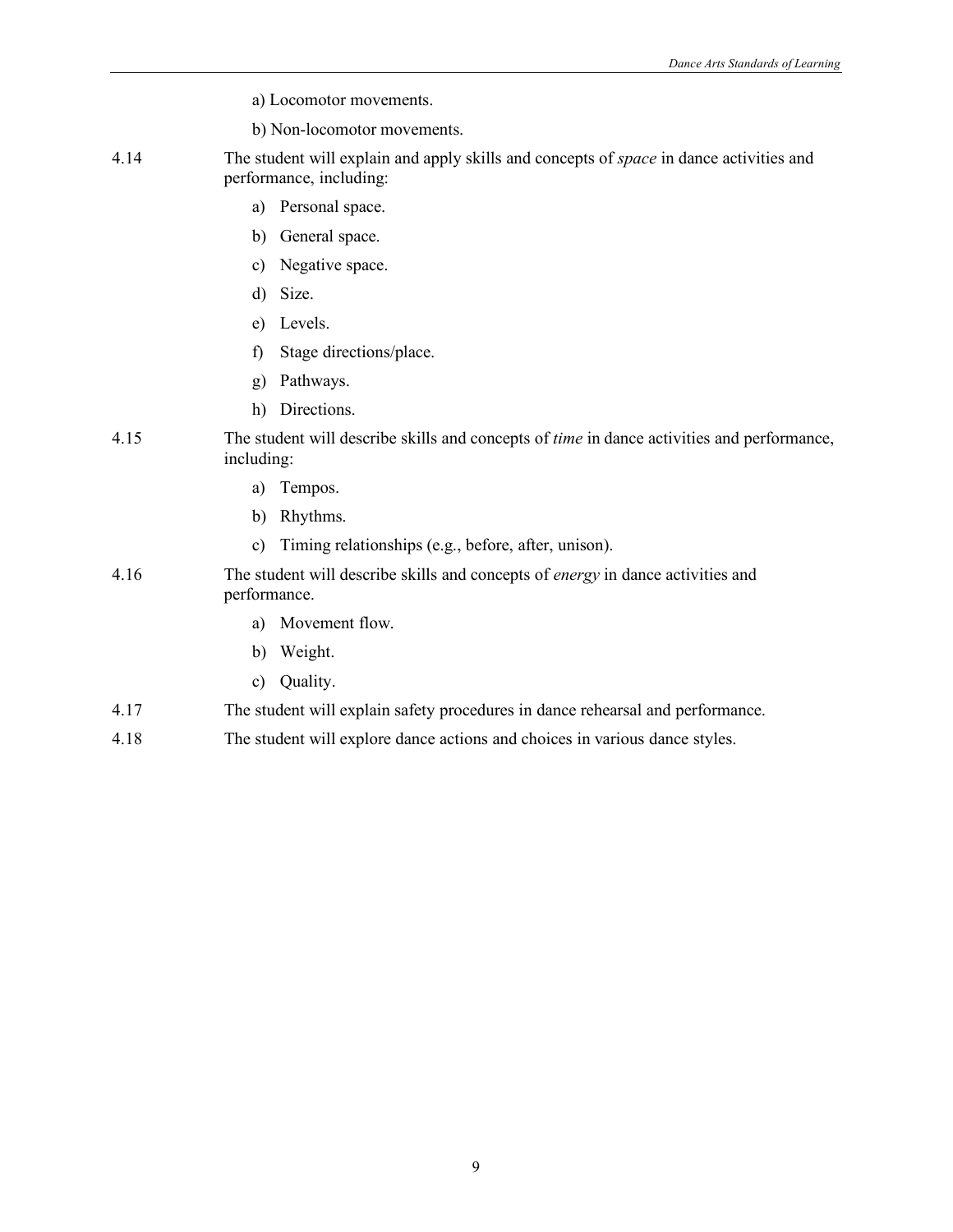- a) Locomotor movements.
- b) Non-locomotor movements.
- 4.14 The student will explain and apply skills and concepts of *space* in dance activities and performance, including:
	- a) Personal space.
	- b) General space.
	- c) Negative space.
	- d) Size.
	- e) Levels.
	- f) Stage directions/place.
	- g) Pathways.
	- h) Directions.

#### 4.15 The student will describe skills and concepts of *time* in dance activities and performance, including:

- a) Tempos.
- b) Rhythms.
- c) Timing relationships (e.g., before, after, unison).

#### 4.16 The student will describe skills and concepts of *energy* in dance activities and performance.

- a) Movement flow.
- b) Weight.
- c) Quality.

#### 4.17 The student will explain safety procedures in dance rehearsal and performance.

4.18 The student will explore dance actions and choices in various dance styles.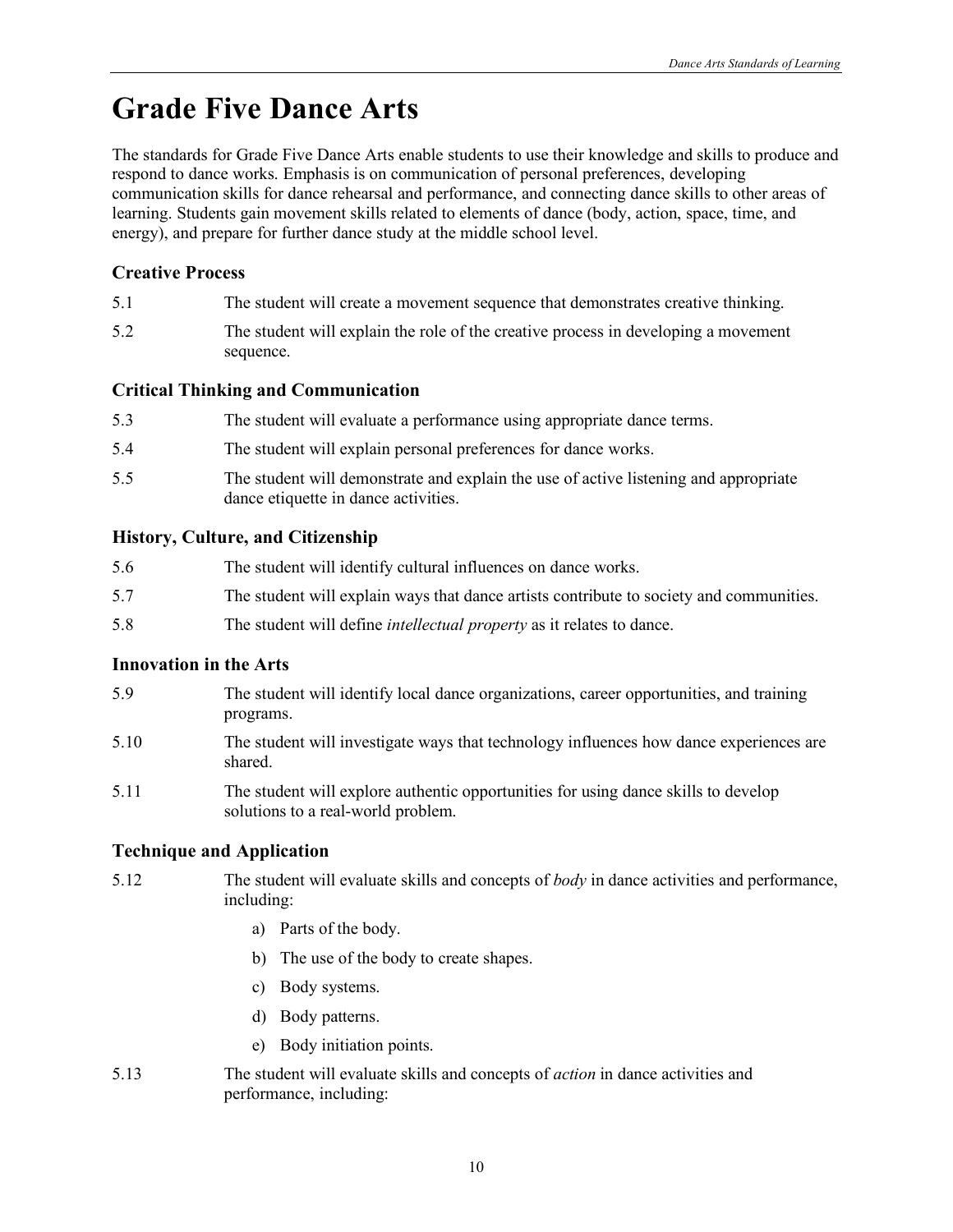# **Grade Five Dance Arts**

The standards for Grade Five Dance Arts enable students to use their knowledge and skills to produce and respond to dance works. Emphasis is on communication of personal preferences, developing communication skills for dance rehearsal and performance, and connecting dance skills to other areas of learning. Students gain movement skills related to elements of dance (body, action, space, time, and energy), and prepare for further dance study at the middle school level.

### **Creative Process**

| 5.1 | The student will create a movement sequence that demonstrates creative thinking. |  |  |
|-----|----------------------------------------------------------------------------------|--|--|
|     |                                                                                  |  |  |

5.2 The student will explain the role of the creative process in developing a movement sequence.

### **Critical Thinking and Communication**

| 5.3 | The student will evaluate a performance using appropriate dance terms.                                                       |
|-----|------------------------------------------------------------------------------------------------------------------------------|
| 5.4 | The student will explain personal preferences for dance works.                                                               |
| 5.5 | The student will demonstrate and explain the use of active listening and appropriate<br>dance etiquette in dance activities. |

#### **History, Culture, and Citizenship**

| 5.6 | The student will identify cultural influences on dance works.                           |
|-----|-----------------------------------------------------------------------------------------|
| 5.7 | The student will explain ways that dance artists contribute to society and communities. |
| 5.8 | The student will define <i>intellectual property</i> as it relates to dance.            |

#### **Innovation in the Arts**

- 5.9 The student will identify local dance organizations, career opportunities, and training programs.
- 5.10 The student will investigate ways that technology influences how dance experiences are shared.
- 5.11 The student will explore authentic opportunities for using dance skills to develop solutions to a real-world problem.

- 5.12 The student will evaluate skills and concepts of *body* in dance activities and performance, including:
	- a) Parts of the body.
	- b) The use of the body to create shapes.
	- c) Body systems.
	- d) Body patterns.
	- e) Body initiation points.
- 5.13 The student will evaluate skills and concepts of *action* in dance activities and performance, including: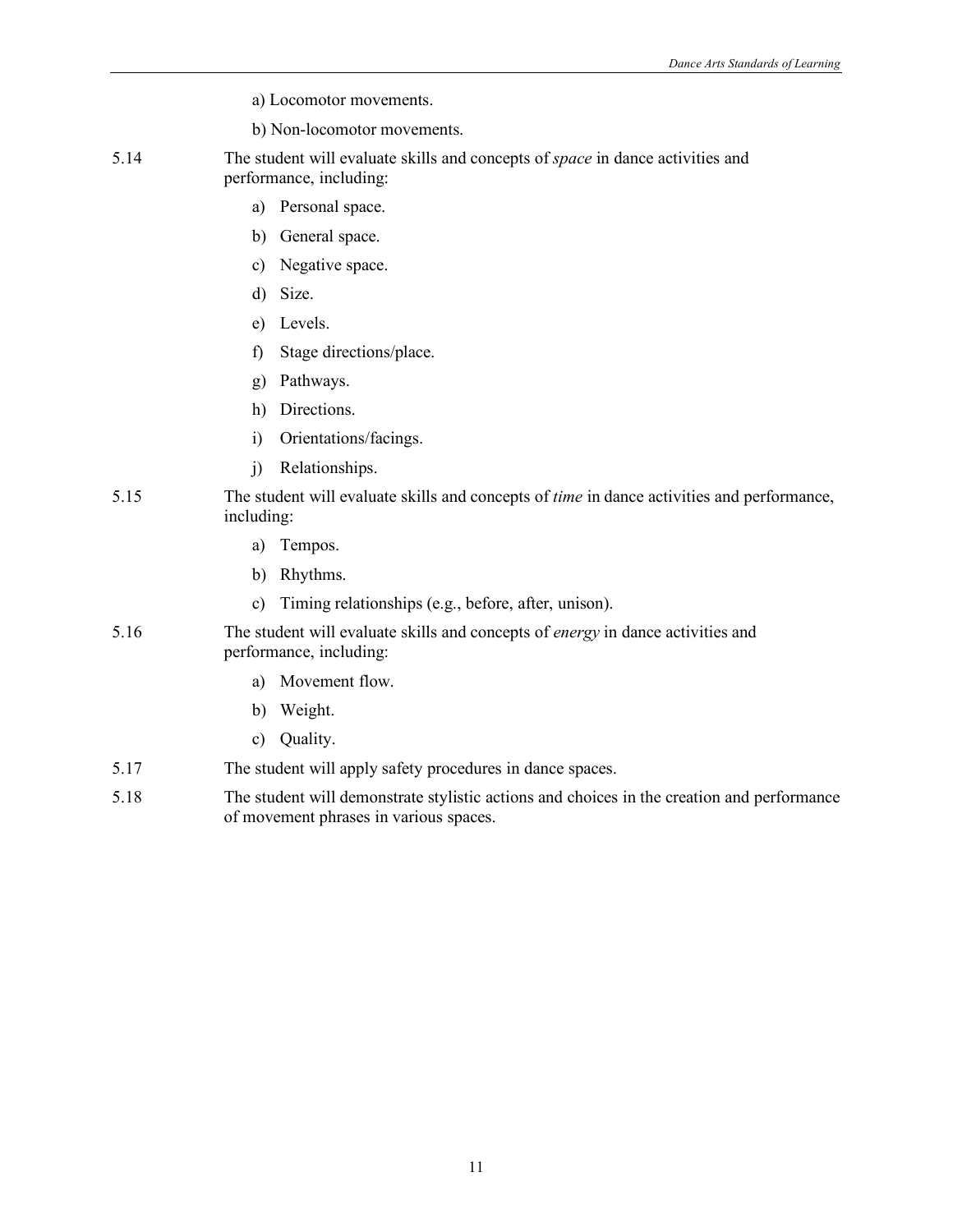- a) Locomotor movements.
- b) Non-locomotor movements.
- 5.14 The student will evaluate skills and concepts of *space* in dance activities and performance, including:
	- a) Personal space.
	- b) General space.
	- c) Negative space.
	- d) Size.
	- e) Levels.
	- f) Stage directions/place.
	- g) Pathways.
	- h) Directions.
	- i) Orientations/facings.
	- j) Relationships.

#### 5.15 The student will evaluate skills and concepts of *time* in dance activities and performance, including:

- a) Tempos.
- b) Rhythms.
- c) Timing relationships (e.g., before, after, unison).
- 5.16 The student will evaluate skills and concepts of *energy* in dance activities and performance, including:
	- a) Movement flow.
	- b) Weight.
	- c) Quality.
- 5.17 The student will apply safety procedures in dance spaces.
- 5.18 The student will demonstrate stylistic actions and choices in the creation and performance of movement phrases in various spaces.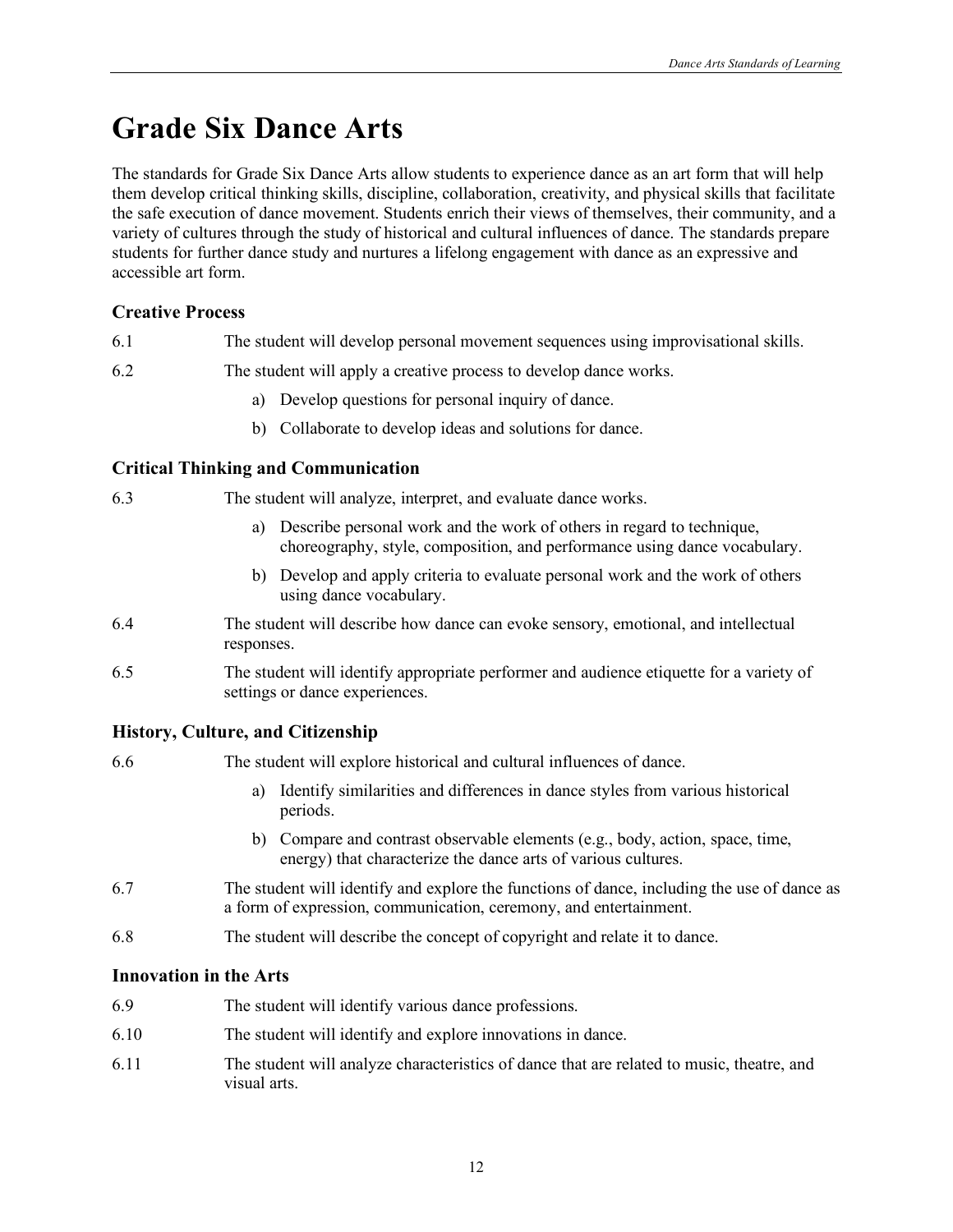# **Grade Six Dance Arts**

The standards for Grade Six Dance Arts allow students to experience dance as an art form that will help them develop critical thinking skills, discipline, collaboration, creativity, and physical skills that facilitate the safe execution of dance movement. Students enrich their views of themselves, their community, and a variety of cultures through the study of historical and cultural influences of dance. The standards prepare students for further dance study and nurtures a lifelong engagement with dance as an expressive and accessible art form.

#### **Creative Process**

- 6.1 The student will develop personal movement sequences using improvisational skills.
- 6.2 The student will apply a creative process to develop dance works.
	- a) Develop questions for personal inquiry of dance.
	- b) Collaborate to develop ideas and solutions for dance.

#### **Critical Thinking and Communication**

6.3 The student will analyze, interpret, and evaluate dance works.

- a) Describe personal work and the work of others in regard to technique, choreography, style, composition, and performance using dance vocabulary.
- b) Develop and apply criteria to evaluate personal work and the work of others using dance vocabulary.
- 6.4 The student will describe how dance can evoke sensory, emotional, and intellectual responses.
- 6.5 The student will identify appropriate performer and audience etiquette for a variety of settings or dance experiences.

#### **History, Culture, and Citizenship**

| 6.6 | The student will explore historical and cultural influences of dance.                                                                          |
|-----|------------------------------------------------------------------------------------------------------------------------------------------------|
|     | Identify similarities and differences in dance styles from various historical<br>a)<br>periods.                                                |
|     | b) Compare and contrast observable elements (e.g., body, action, space, time,<br>energy) that characterize the dance arts of various cultures. |
| 6.7 | The student will identify and explore the functions of dance, including the use of dang                                                        |

- 6.7 The student will identify and explore the functions of dance, including the use of dance as a form of expression, communication, ceremony, and entertainment.
- 6.8 The student will describe the concept of copyright and relate it to dance.

#### **Innovation in the Arts**

- 6.9 The student will identify various dance professions.
- 6.10 The student will identify and explore innovations in dance.
- 6.11 The student will analyze characteristics of dance that are related to music, theatre, and visual arts.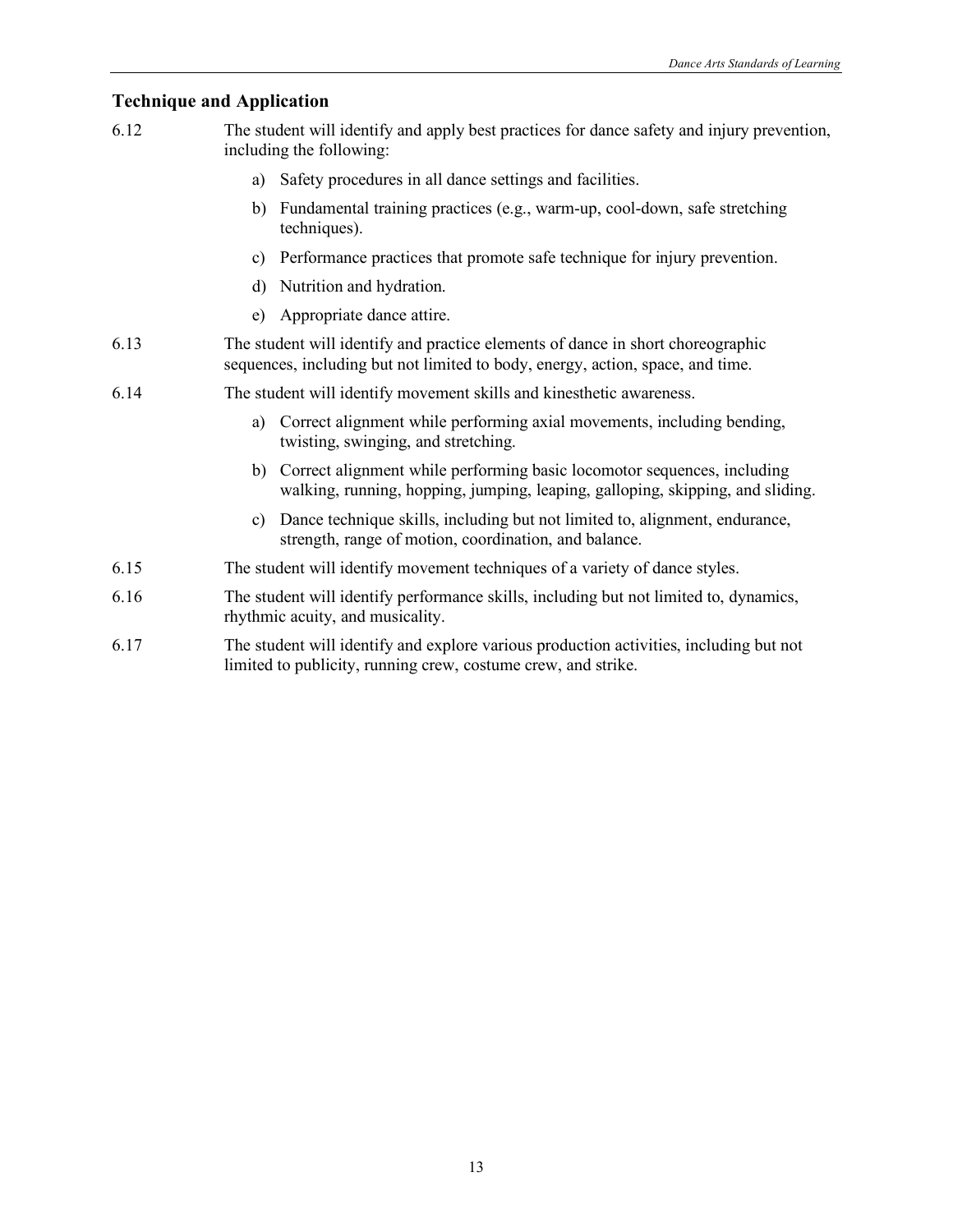- 6.12 The student will identify and apply best practices for dance safety and injury prevention, including the following:
	- a) Safety procedures in all dance settings and facilities.
	- b) Fundamental training practices (e.g., warm-up, cool-down, safe stretching techniques).
	- c) Performance practices that promote safe technique for injury prevention.
	- d) Nutrition and hydration.
	- e) Appropriate dance attire.
- 6.13 The student will identify and practice elements of dance in short choreographic sequences, including but not limited to body, energy, action, space, and time.
- 6.14 The student will identify movement skills and kinesthetic awareness.
	- a) Correct alignment while performing axial movements, including bending, twisting, swinging, and stretching.
	- b) Correct alignment while performing basic locomotor sequences, including walking, running, hopping, jumping, leaping, galloping, skipping, and sliding.
	- c) Dance technique skills, including but not limited to, alignment, endurance, strength, range of motion, coordination, and balance.
- 6.15 The student will identify movement techniques of a variety of dance styles.
- 6.16 The student will identify performance skills, including but not limited to, dynamics, rhythmic acuity, and musicality.
- 6.17 The student will identify and explore various production activities, including but not limited to publicity, running crew, costume crew, and strike.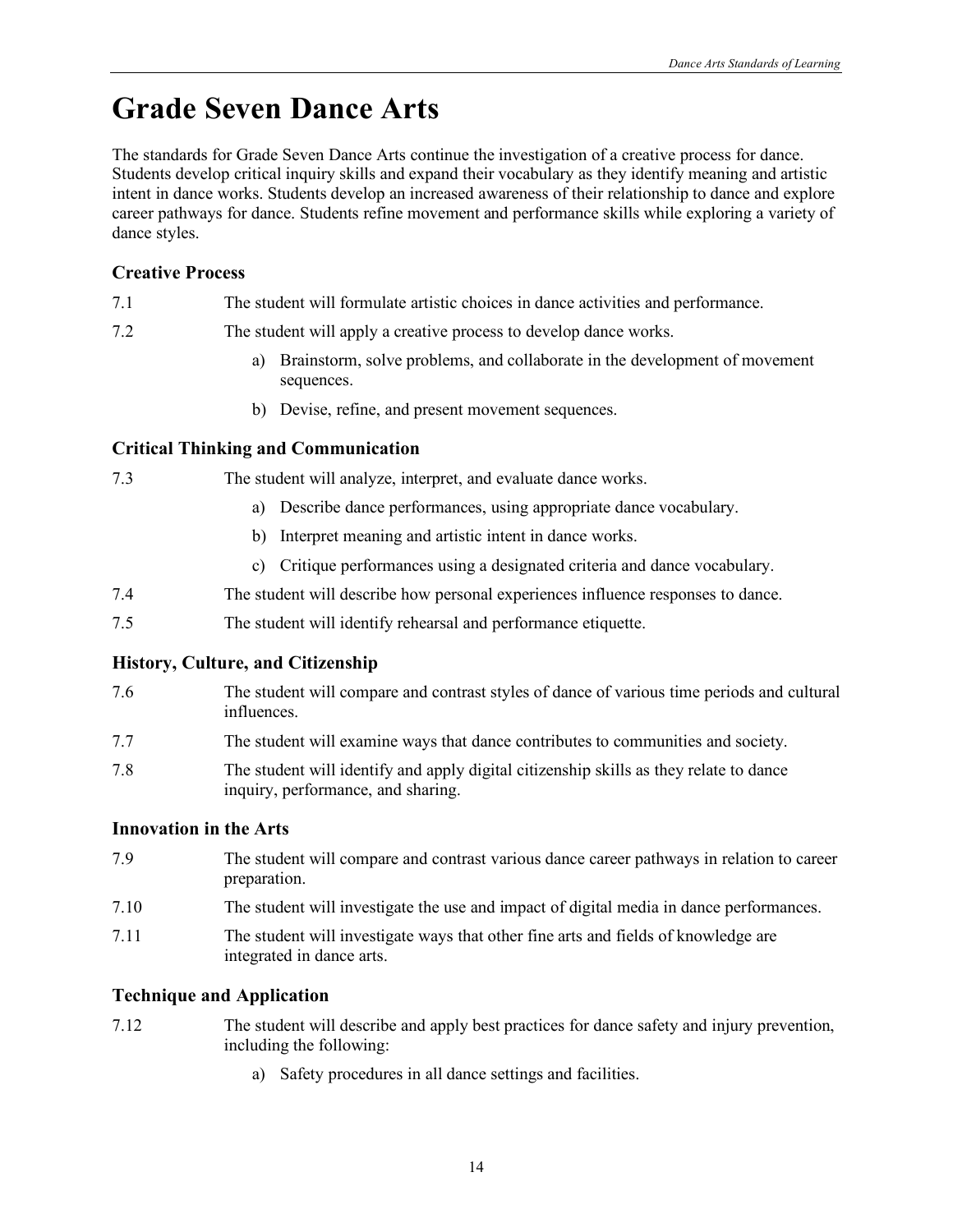# **Grade Seven Dance Arts**

The standards for Grade Seven Dance Arts continue the investigation of a creative process for dance. Students develop critical inquiry skills and expand their vocabulary as they identify meaning and artistic intent in dance works. Students develop an increased awareness of their relationship to dance and explore career pathways for dance. Students refine movement and performance skills while exploring a variety of dance styles.

### **Creative Process**

- 7.1 The student will formulate artistic choices in dance activities and performance.
- 7.2 The student will apply a creative process to develop dance works.
	- a) Brainstorm, solve problems, and collaborate in the development of movement sequences.
	- b) Devise, refine, and present movement sequences.

#### **Critical Thinking and Communication**

#### 7.3 The student will analyze, interpret, and evaluate dance works.

- a) Describe dance performances, using appropriate dance vocabulary.
- b) Interpret meaning and artistic intent in dance works.
- c) Critique performances using a designated criteria and dance vocabulary.
- 7.4 The student will describe how personal experiences influence responses to dance.
- 7.5 The student will identify rehearsal and performance etiquette.

#### **History, Culture, and Citizenship**

- 7.6 The student will compare and contrast styles of dance of various time periods and cultural influences.
- 7.7 The student will examine ways that dance contributes to communities and society.
- 7.8 The student will identify and apply digital citizenship skills as they relate to dance inquiry, performance, and sharing.

#### **Innovation in the Arts**

- 7.9 The student will compare and contrast various dance career pathways in relation to career preparation.
- 7.10 The student will investigate the use and impact of digital media in dance performances.
- 7.11 The student will investigate ways that other fine arts and fields of knowledge are integrated in dance arts.

- 7.12 The student will describe and apply best practices for dance safety and injury prevention, including the following:
	- a) Safety procedures in all dance settings and facilities.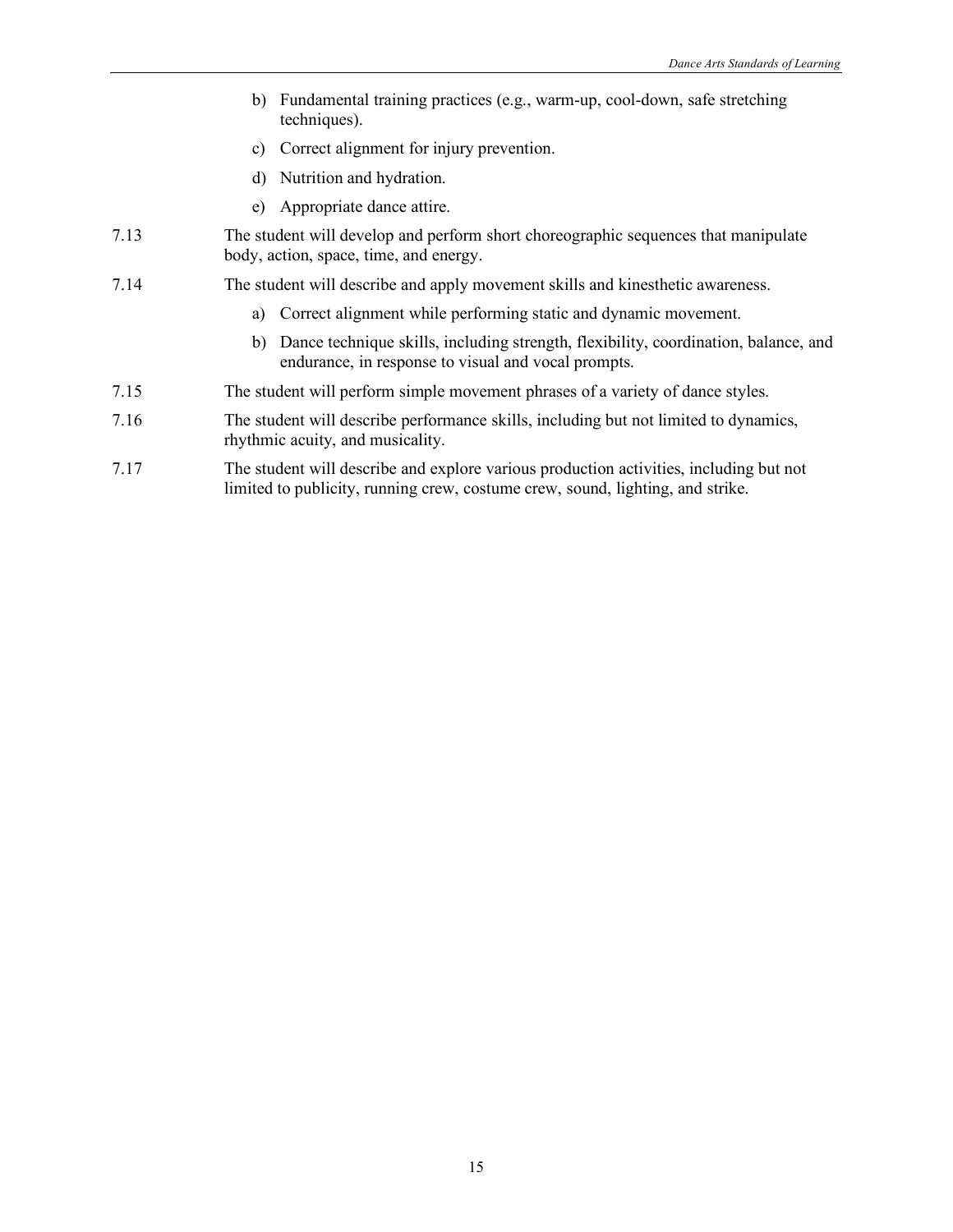- b) Fundamental training practices (e.g., warm-up, cool-down, safe stretching techniques).
- c) Correct alignment for injury prevention.
- d) Nutrition and hydration.
- e) Appropriate dance attire.
- 7.13 The student will develop and perform short choreographic sequences that manipulate body, action, space, time, and energy.
- 7.14 The student will describe and apply movement skills and kinesthetic awareness.
	- a) Correct alignment while performing static and dynamic movement.
	- b) Dance technique skills, including strength, flexibility, coordination, balance, and endurance, in response to visual and vocal prompts.
- 7.15 The student will perform simple movement phrases of a variety of dance styles.
- 7.16 The student will describe performance skills, including but not limited to dynamics, rhythmic acuity, and musicality.
- 7.17 The student will describe and explore various production activities, including but not limited to publicity, running crew, costume crew, sound, lighting, and strike.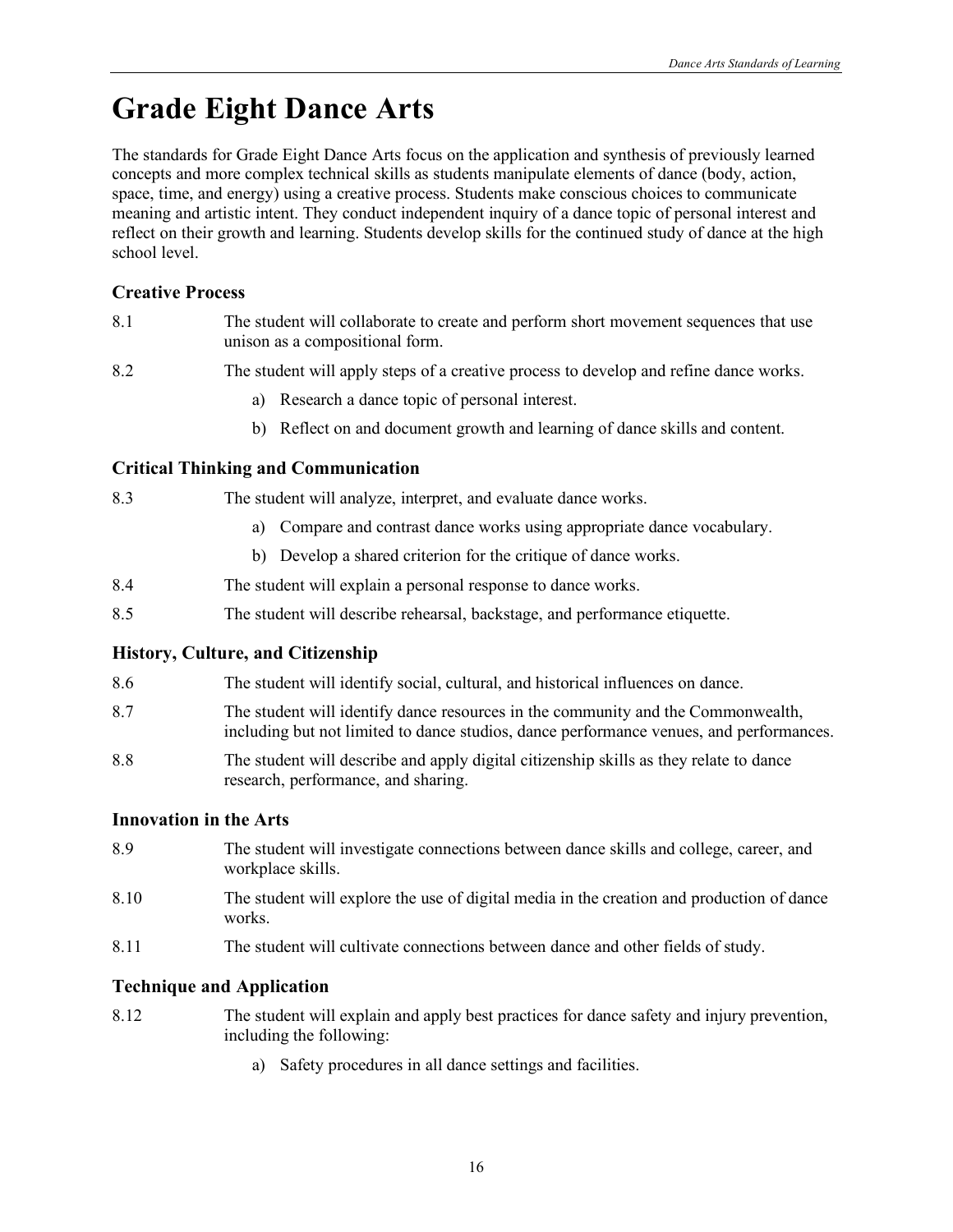# **Grade Eight Dance Arts**

The standards for Grade Eight Dance Arts focus on the application and synthesis of previously learned concepts and more complex technical skills as students manipulate elements of dance (body, action, space, time, and energy) using a creative process. Students make conscious choices to communicate meaning and artistic intent. They conduct independent inquiry of a dance topic of personal interest and reflect on their growth and learning. Students develop skills for the continued study of dance at the high school level.

### **Creative Process**

- 8.1 The student will collaborate to create and perform short movement sequences that use unison as a compositional form.
- 8.2 The student will apply steps of a creative process to develop and refine dance works.
	- a) Research a dance topic of personal interest.
	- b) Reflect on and document growth and learning of dance skills and content.

#### **Critical Thinking and Communication**

8.3 The student will analyze, interpret, and evaluate dance works.

- a) Compare and contrast dance works using appropriate dance vocabulary.
- b) Develop a shared criterion for the critique of dance works.
- 8.4 The student will explain a personal response to dance works.
- 8.5 The student will describe rehearsal, backstage, and performance etiquette.

#### **History, Culture, and Citizenship**

- 8.6 The student will identify social, cultural, and historical influences on dance.
- 8.7 The student will identify dance resources in the community and the Commonwealth, including but not limited to dance studios, dance performance venues, and performances.
- 8.8 The student will describe and apply digital citizenship skills as they relate to dance research, performance, and sharing.

#### **Innovation in the Arts**

- 8.9 The student will investigate connections between dance skills and college, career, and workplace skills.
- 8.10 The student will explore the use of digital media in the creation and production of dance works.
- 8.11 The student will cultivate connections between dance and other fields of study.

- 8.12 The student will explain and apply best practices for dance safety and injury prevention, including the following:
	- a) Safety procedures in all dance settings and facilities.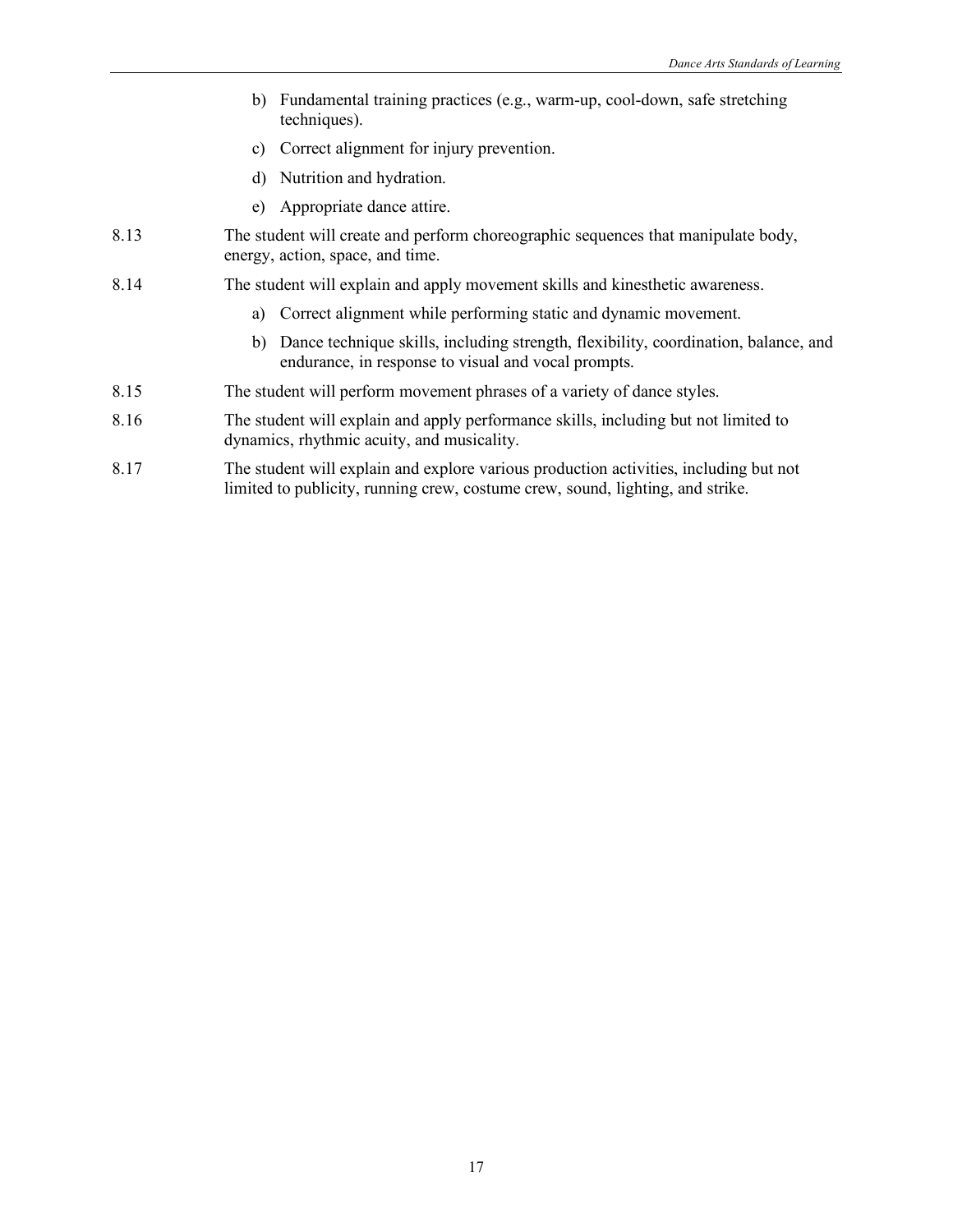- b) Fundamental training practices (e.g., warm-up, cool-down, safe stretching techniques).
- c) Correct alignment for injury prevention.
- d) Nutrition and hydration.
- e) Appropriate dance attire.
- 8.13 The student will create and perform choreographic sequences that manipulate body, energy, action, space, and time.
- 8.14 The student will explain and apply movement skills and kinesthetic awareness.
	- a) Correct alignment while performing static and dynamic movement.
	- b) Dance technique skills, including strength, flexibility, coordination, balance, and endurance, in response to visual and vocal prompts.
- 8.15 The student will perform movement phrases of a variety of dance styles.
- 8.16 The student will explain and apply performance skills, including but not limited to dynamics, rhythmic acuity, and musicality.
- 8.17 The student will explain and explore various production activities, including but not limited to publicity, running crew, costume crew, sound, lighting, and strike.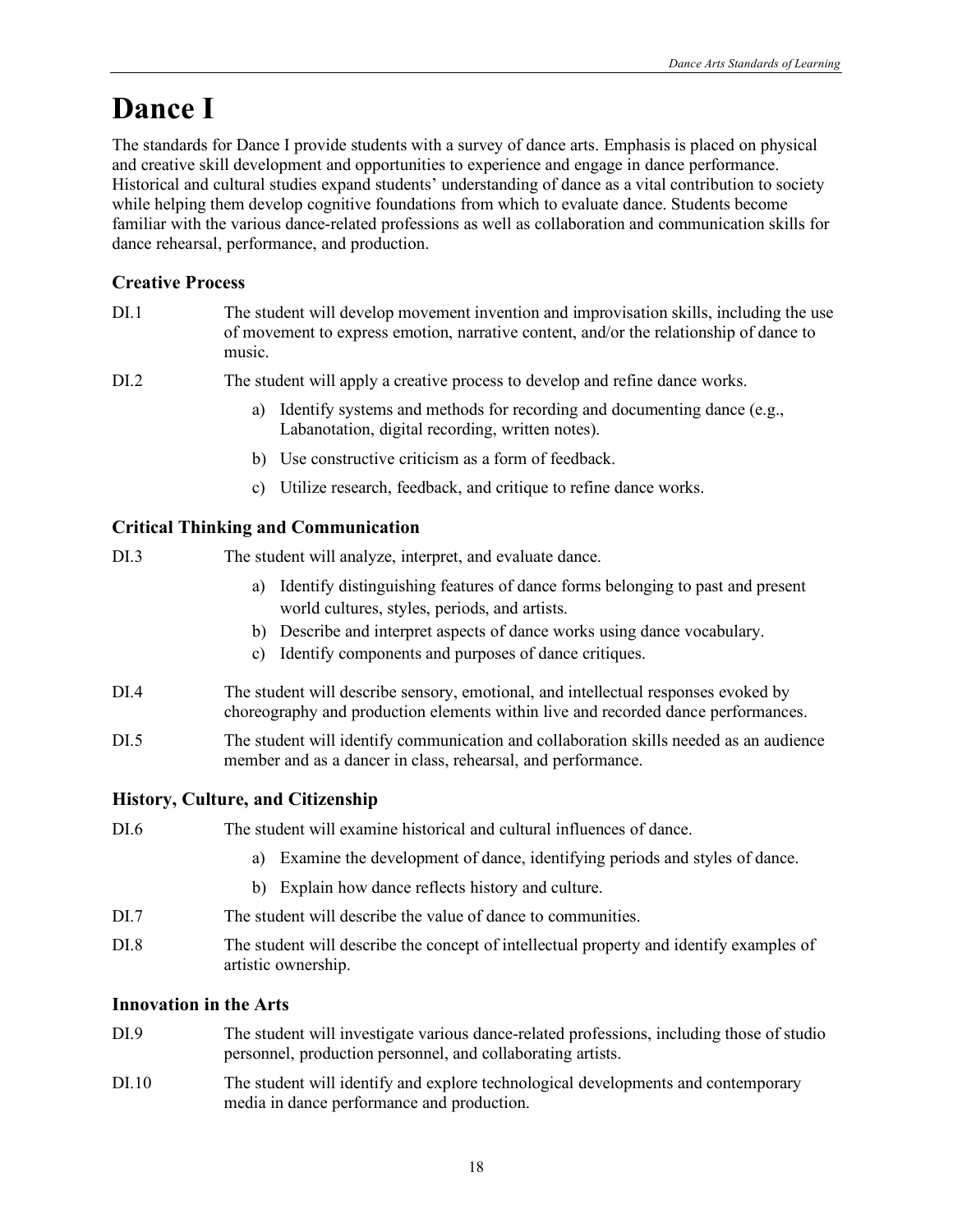# **Dance I**

The standards for Dance I provide students with a survey of dance arts. Emphasis is placed on physical and creative skill development and opportunities to experience and engage in dance performance. Historical and cultural studies expand students' understanding of dance as a vital contribution to society while helping them develop cognitive foundations from which to evaluate dance. Students become familiar with the various dance-related professions as well as collaboration and communication skills for dance rehearsal, performance, and production.

## **Creative Process**

| DI.1 | The student will develop movement invention and improvisation skills, including the use<br>of movement to express emotion, narrative content, and/or the relationship of dance to<br>music. |
|------|---------------------------------------------------------------------------------------------------------------------------------------------------------------------------------------------|
| DI.2 | The student will apply a creative process to develop and refine dance works.                                                                                                                |
|      | Identify systems and methods for recording and documenting dance (e.g.,<br>a)<br>Labanotation, digital recording, written notes).                                                           |
|      | b) Use constructive criticism as a form of feedback.                                                                                                                                        |
|      | Utilize research, feedback, and critique to refine dance works.<br>C)                                                                                                                       |
|      | <b>Critical Thinking and Communication</b>                                                                                                                                                  |
| DI.3 | The student will analyze, interpret, and evaluate dance.                                                                                                                                    |
|      | Identify distinguishing features of dance forms belonging to past and present<br>a)<br>world cultures, styles, periods, and artists.                                                        |
|      | b) Describe and interpret aspects of dance works using dance vocabulary.<br>Identify components and purposes of dance critiques.<br>c)                                                      |
| DI.4 | The student will describe sensory, emotional, and intellectual responses evoked by<br>choreography and production elements within live and recorded dance performances.                     |
| DI.5 | The student will identify communication and collaboration skills needed as an audience<br>member and as a dancer in class, rehearsal, and performance.                                      |
|      | <b>History, Culture, and Citizenship</b>                                                                                                                                                    |
| DI.6 | The student will examine historical and cultural influences of dance.                                                                                                                       |
|      | Examine the development of dance, identifying periods and styles of dance.<br>a)                                                                                                            |
|      | Explain how dance reflects history and culture.<br>b)                                                                                                                                       |
| DI.7 | The student will describe the value of dance to communities.                                                                                                                                |
| DI.8 | The student will describe the concept of intellectual property and identify examples of<br>artistic ownership.                                                                              |
|      | <b>Innovation in the Arts</b>                                                                                                                                                               |
| DI.9 | The student will investigate various dance-related professions, including those of studio<br>personnel, production personnel, and collaborating artists.                                    |

DI.10 The student will identify and explore technological developments and contemporary media in dance performance and production.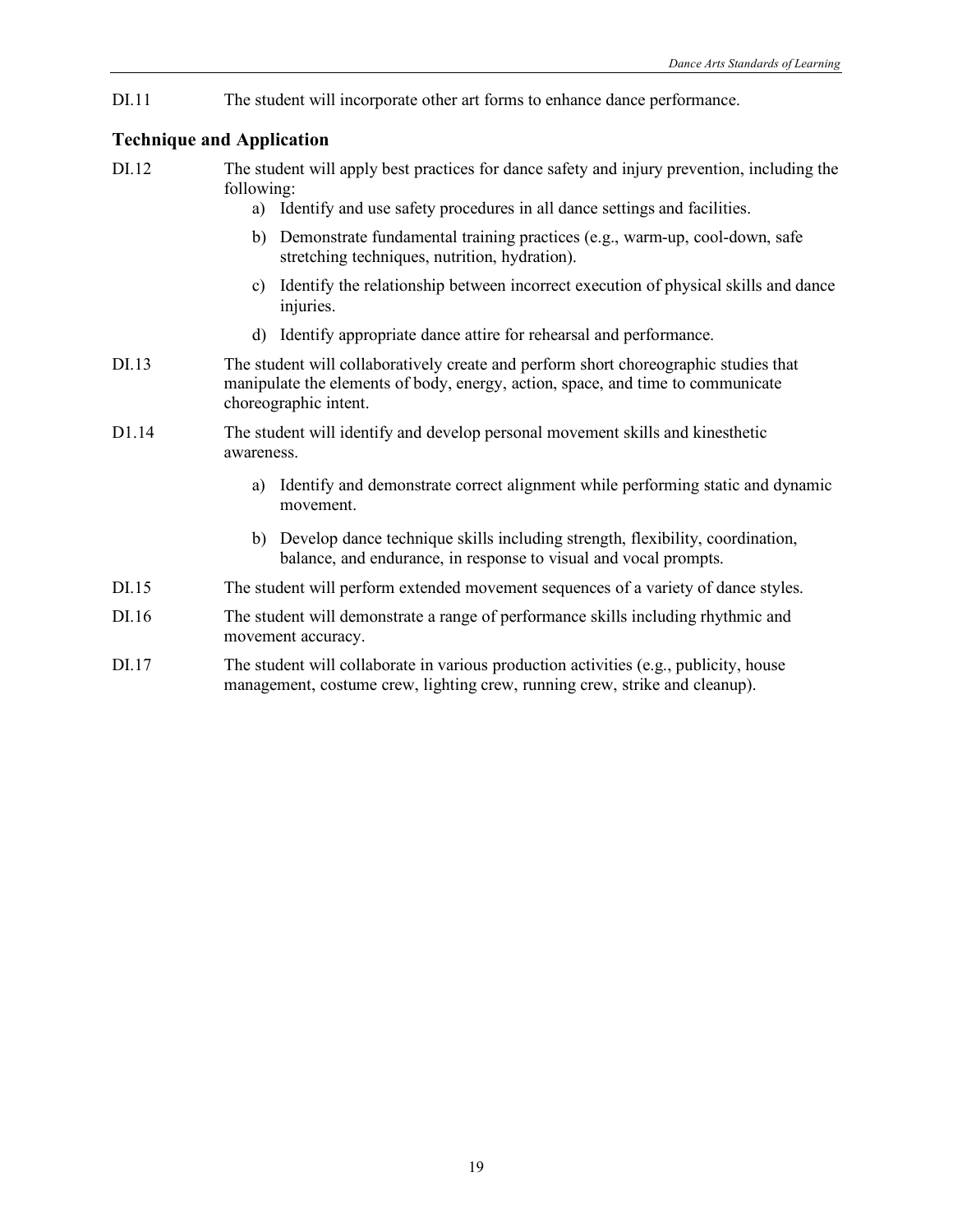DI.11 The student will incorporate other art forms to enhance dance performance.

- DI.12 The student will apply best practices for dance safety and injury prevention, including the following:
	- a) Identify and use safety procedures in all dance settings and facilities.
	- b) Demonstrate fundamental training practices (e.g., warm-up, cool-down, safe stretching techniques, nutrition, hydration).
	- c) Identify the relationship between incorrect execution of physical skills and dance injuries.
	- d) Identify appropriate dance attire for rehearsal and performance.
- DI.13 The student will collaboratively create and perform short choreographic studies that manipulate the elements of body, energy, action, space, and time to communicate choreographic intent.
- D1.14 The student will identify and develop personal movement skills and kinesthetic awareness.
	- a) Identify and demonstrate correct alignment while performing static and dynamic movement.
	- b) Develop dance technique skills including strength, flexibility, coordination, balance, and endurance, in response to visual and vocal prompts.
- DI.15 The student will perform extended movement sequences of a variety of dance styles.
- DI.16 The student will demonstrate a range of performance skills including rhythmic and movement accuracy.
- DI.17 The student will collaborate in various production activities (e.g., publicity, house management, costume crew, lighting crew, running crew, strike and cleanup).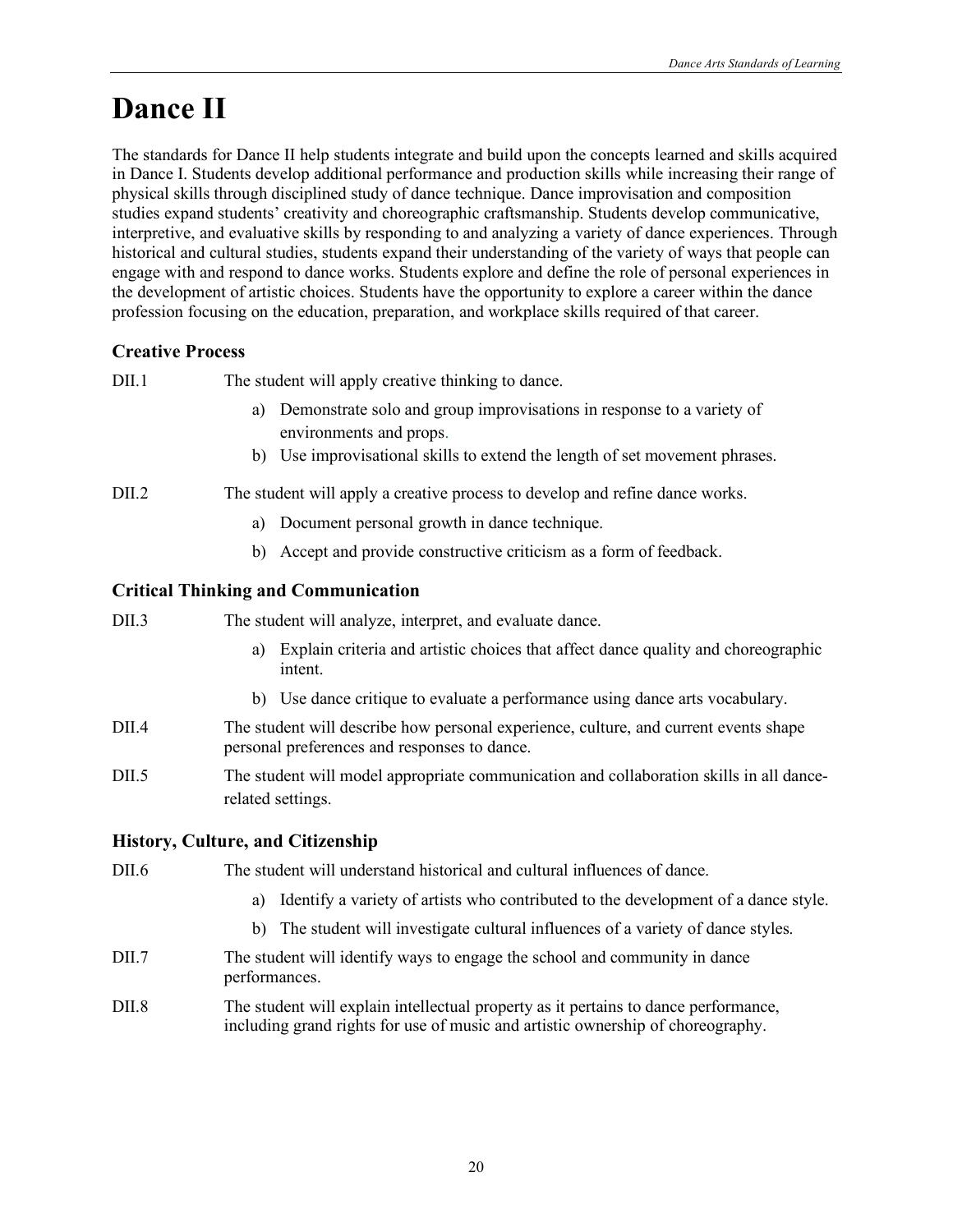# **Dance II**

The standards for Dance II help students integrate and build upon the concepts learned and skills acquired in Dance I. Students develop additional performance and production skills while increasing their range of physical skills through disciplined study of dance technique. Dance improvisation and composition studies expand students' creativity and choreographic craftsmanship. Students develop communicative, interpretive, and evaluative skills by responding to and analyzing a variety of dance experiences. Through historical and cultural studies, students expand their understanding of the variety of ways that people can engage with and respond to dance works. Students explore and define the role of personal experiences in the development of artistic choices. Students have the opportunity to explore a career within the dance profession focusing on the education, preparation, and workplace skills required of that career.

### **Creative Process**

DII.1 The student will apply creative thinking to dance.

- a) Demonstrate solo and group improvisations in response to a variety of environments and props.
- b) Use improvisational skills to extend the length of set movement phrases.

#### DII.2 The student will apply a creative process to develop and refine dance works.

- a) Document personal growth in dance technique.
- b) Accept and provide constructive criticism as a form of feedback.

### **Critical Thinking and Communication**

- a) Explain criteria and artistic choices that affect dance quality and choreographic intent.
- b) Use dance critique to evaluate a performance using dance arts vocabulary.
- DII.4 The student will describe how personal experience, culture, and current events shape personal preferences and responses to dance.
- DII.5 The student will model appropriate communication and collaboration skills in all dancerelated settings.

#### **History, Culture, and Citizenship**

- DII.6 The student will understand historical and cultural influences of dance.
	- a) Identify a variety of artists who contributed to the development of a dance style.
	- b) The student will investigate cultural influences of a variety of dance styles.
- DII.7 The student will identify ways to engage the school and community in dance performances.
- DII.8 The student will explain intellectual property as it pertains to dance performance, including grand rights for use of music and artistic ownership of choreography.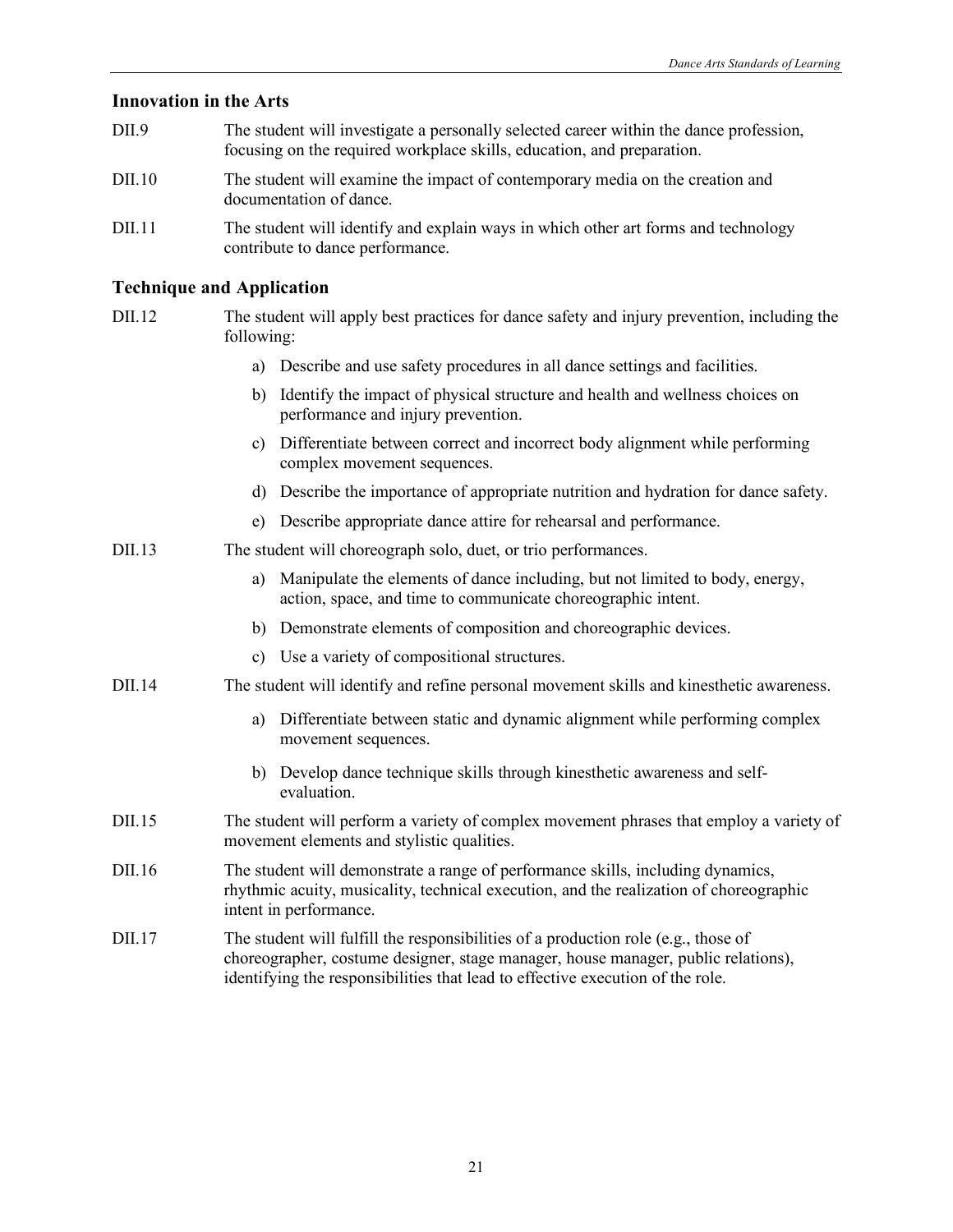#### **Innovation in the Arts**

- DII.9 The student will investigate a personally selected career within the dance profession, focusing on the required workplace skills, education, and preparation.
- DII.10 The student will examine the impact of contemporary media on the creation and documentation of dance.
- DII.11 The student will identify and explain ways in which other art forms and technology contribute to dance performance.

- DII.12 The student will apply best practices for dance safety and injury prevention, including the following:
	- a) Describe and use safety procedures in all dance settings and facilities.
	- b) Identify the impact of physical structure and health and wellness choices on performance and injury prevention.
	- c) Differentiate between correct and incorrect body alignment while performing complex movement sequences.
	- d) Describe the importance of appropriate nutrition and hydration for dance safety.
	- e) Describe appropriate dance attire for rehearsal and performance.
- DII.13 The student will choreograph solo, duet, or trio performances.
	- a) Manipulate the elements of dance including, but not limited to body, energy, action, space, and time to communicate choreographic intent.
	- b) Demonstrate elements of composition and choreographic devices.
	- c) Use a variety of compositional structures.
- DII.14 The student will identify and refine personal movement skills and kinesthetic awareness.
	- a) Differentiate between static and dynamic alignment while performing complex movement sequences.
	- b) Develop dance technique skills through kinesthetic awareness and selfevaluation.
- DII.15 The student will perform a variety of complex movement phrases that employ a variety of movement elements and stylistic qualities.
- DII.16 The student will demonstrate a range of performance skills, including dynamics, rhythmic acuity, musicality, technical execution, and the realization of choreographic intent in performance.
- DII.17 The student will fulfill the responsibilities of a production role (e.g., those of choreographer, costume designer, stage manager, house manager, public relations), identifying the responsibilities that lead to effective execution of the role.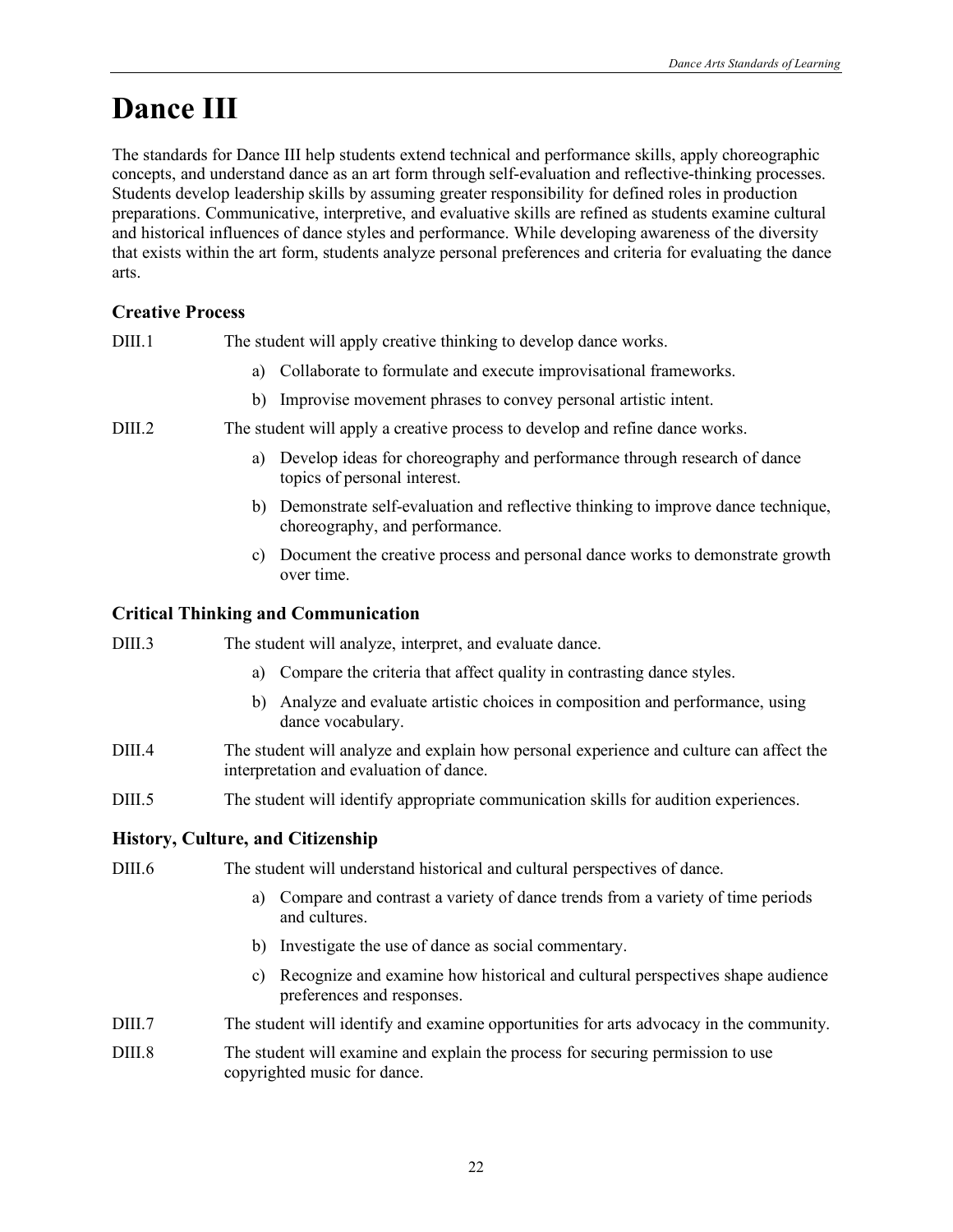# **Dance III**

The standards for Dance III help students extend technical and performance skills, apply choreographic concepts, and understand dance as an art form through self-evaluation and reflective-thinking processes. Students develop leadership skills by assuming greater responsibility for defined roles in production preparations. Communicative, interpretive, and evaluative skills are refined as students examine cultural and historical influences of dance styles and performance. While developing awareness of the diversity that exists within the art form, students analyze personal preferences and criteria for evaluating the dance arts.

### **Creative Process**

DIII.1 The student will apply creative thinking to develop dance works.

- a) Collaborate to formulate and execute improvisational frameworks.
- b) Improvise movement phrases to convey personal artistic intent.

DIII.2 The student will apply a creative process to develop and refine dance works.

- a) Develop ideas for choreography and performance through research of dance topics of personal interest.
- b) Demonstrate self-evaluation and reflective thinking to improve dance technique, choreography, and performance.
- c) Document the creative process and personal dance works to demonstrate growth over time.

#### **Critical Thinking and Communication**

- DIII.3 The student will analyze, interpret, and evaluate dance.
	- a) Compare the criteria that affect quality in contrasting dance styles.
	- b) Analyze and evaluate artistic choices in composition and performance, using dance vocabulary.
- DIII.4 The student will analyze and explain how personal experience and culture can affect the interpretation and evaluation of dance.
- DIII.5 The student will identify appropriate communication skills for audition experiences.

#### **History, Culture, and Citizenship**

DIII.6 The student will understand historical and cultural perspectives of dance.

- a) Compare and contrast a variety of dance trends from a variety of time periods and cultures.
- b) Investigate the use of dance as social commentary.
- c) Recognize and examine how historical and cultural perspectives shape audience preferences and responses.
- DIII.7 The student will identify and examine opportunities for arts advocacy in the community.

DIII.8 The student will examine and explain the process for securing permission to use copyrighted music for dance.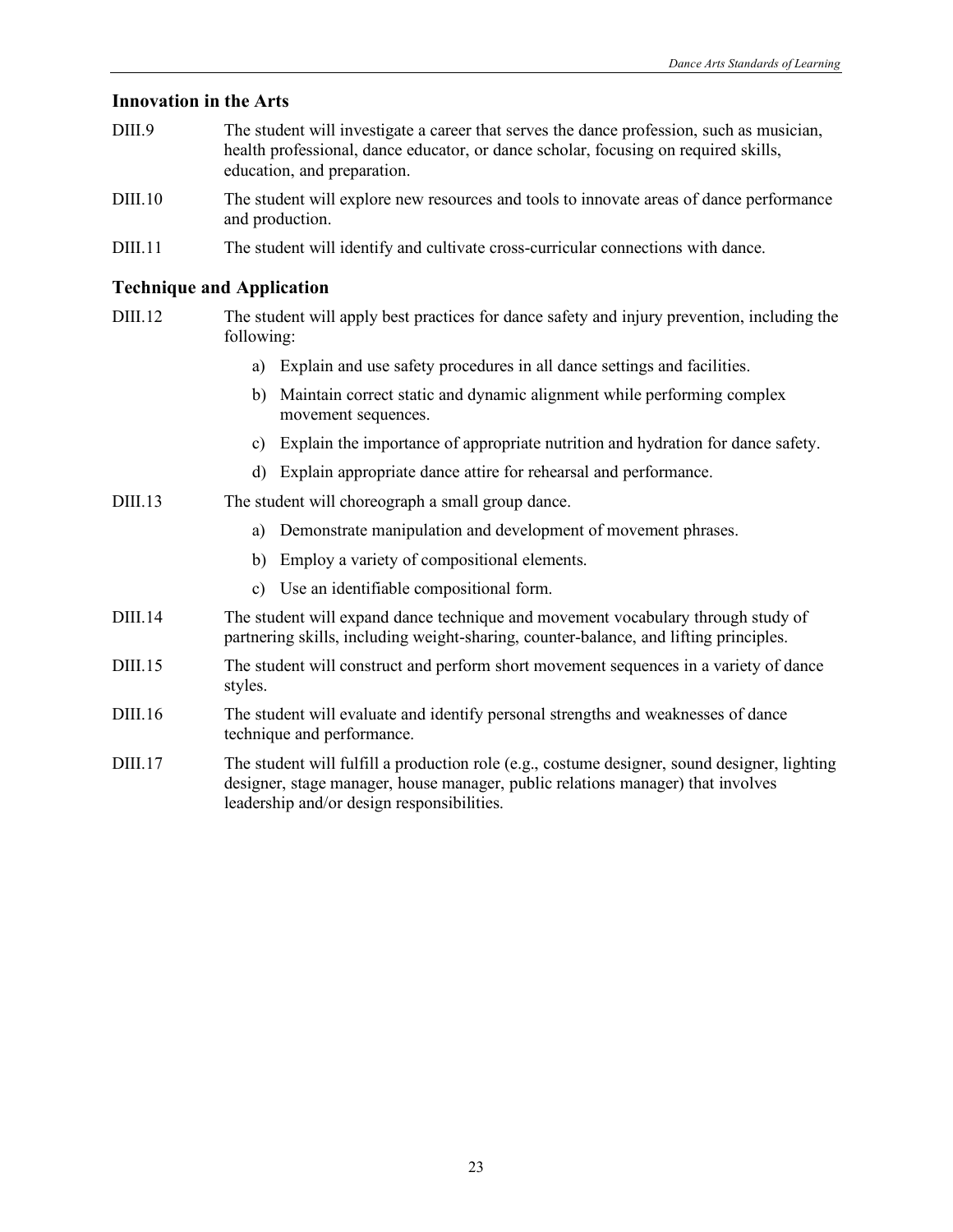#### **Innovation in the Arts**

- DIII.9 The student will investigate a career that serves the dance profession, such as musician, health professional, dance educator, or dance scholar, focusing on required skills, education, and preparation.
- DIII.10 The student will explore new resources and tools to innovate areas of dance performance and production.
- DIII.11 The student will identify and cultivate cross-curricular connections with dance.

#### **Technique and Application**

- DIII.12 The student will apply best practices for dance safety and injury prevention, including the following:
	- a) Explain and use safety procedures in all dance settings and facilities.
	- b) Maintain correct static and dynamic alignment while performing complex movement sequences.
	- c) Explain the importance of appropriate nutrition and hydration for dance safety.
	- d) Explain appropriate dance attire for rehearsal and performance.

#### DIII.13 The student will choreograph a small group dance.

- a) Demonstrate manipulation and development of movement phrases.
- b) Employ a variety of compositional elements.
- c) Use an identifiable compositional form.
- DIII.14 The student will expand dance technique and movement vocabulary through study of partnering skills, including weight-sharing, counter-balance, and lifting principles.
- DIII.15 The student will construct and perform short movement sequences in a variety of dance styles.
- DIII.16 The student will evaluate and identify personal strengths and weaknesses of dance technique and performance.
- DIII.17 The student will fulfill a production role (e.g., costume designer, sound designer, lighting designer, stage manager, house manager, public relations manager) that involves leadership and/or design responsibilities.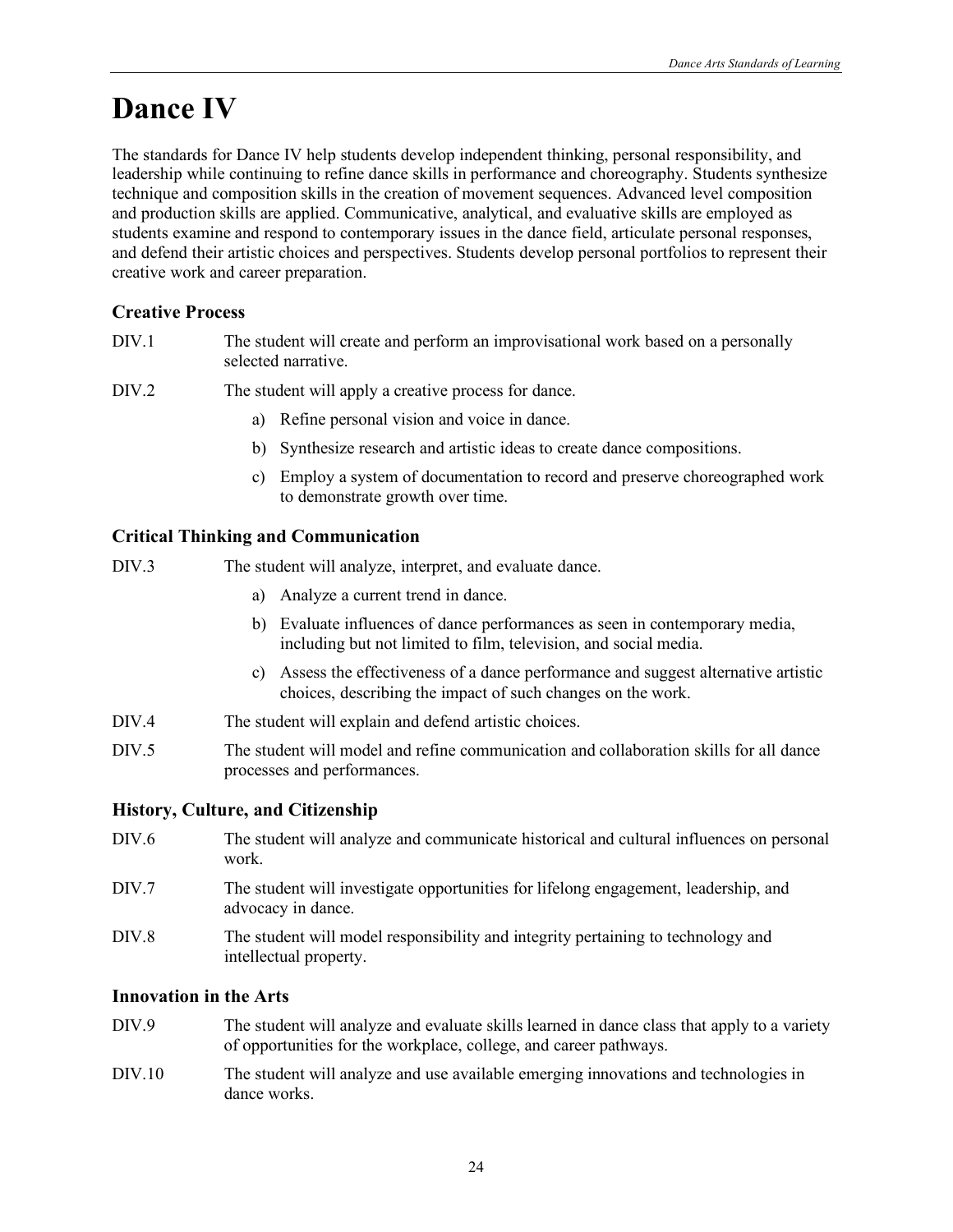# **Dance IV**

The standards for Dance IV help students develop independent thinking, personal responsibility, and leadership while continuing to refine dance skills in performance and choreography. Students synthesize technique and composition skills in the creation of movement sequences. Advanced level composition and production skills are applied. Communicative, analytical, and evaluative skills are employed as students examine and respond to contemporary issues in the dance field, articulate personal responses, and defend their artistic choices and perspectives. Students develop personal portfolios to represent their creative work and career preparation.

### **Creative Process**

- DIV.1 The student will create and perform an improvisational work based on a personally selected narrative.
- DIV.2 The student will apply a creative process for dance.
	- a) Refine personal vision and voice in dance.
	- b) Synthesize research and artistic ideas to create dance compositions.
	- c) Employ a system of documentation to record and preserve choreographed work to demonstrate growth over time.

### **Critical Thinking and Communication**

DIV.3 The student will analyze, interpret, and evaluate dance.

- a) Analyze a current trend in dance.
- b) Evaluate influences of dance performances as seen in contemporary media, including but not limited to film, television, and social media.
- c) Assess the effectiveness of a dance performance and suggest alternative artistic choices, describing the impact of such changes on the work.
- DIV.4 The student will explain and defend artistic choices.
- DIV.5 The student will model and refine communication and collaboration skills for all dance processes and performances.

#### **History, Culture, and Citizenship**

- DIV.6 The student will analyze and communicate historical and cultural influences on personal work.
- DIV.7 The student will investigate opportunities for lifelong engagement, leadership, and advocacy in dance.
- DIV.8 The student will model responsibility and integrity pertaining to technology and intellectual property.

### **Innovation in the Arts**

- DIV.9 The student will analyze and evaluate skills learned in dance class that apply to a variety of opportunities for the workplace, college, and career pathways.
- DIV.10 The student will analyze and use available emerging innovations and technologies in dance works.